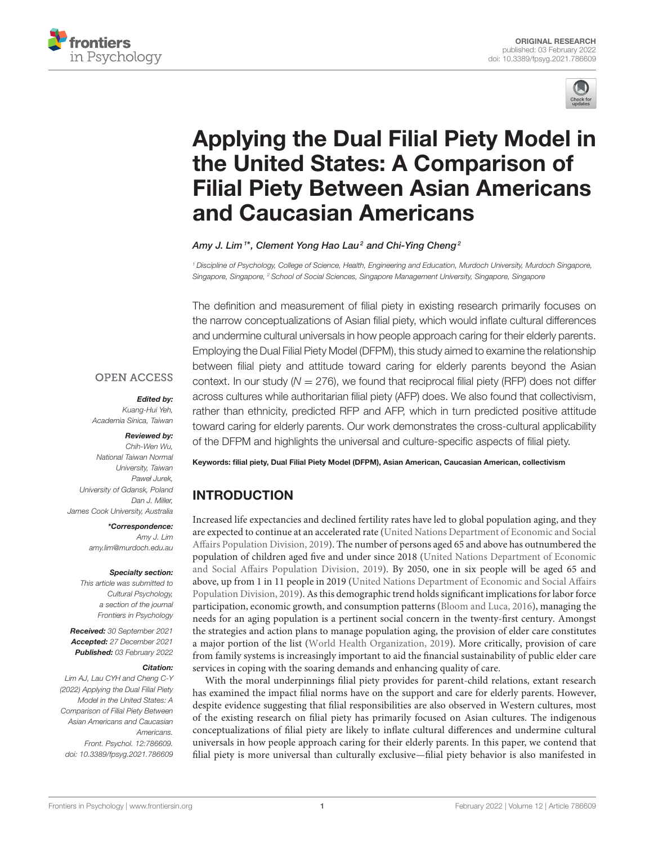



# Applying the Dual Filial Piety Model in the United States: A Comparison of [Filial Piety Between Asian Americans](https://www.frontiersin.org/articles/10.3389/fpsyg.2021.786609/full) and Caucasian Americans

Amy J. Lim $^{\rm 1*}$ , Clement Yong Hao Lau $^{\rm 2}$  and Chi-Ying Cheng $^{\rm 2}$ 

*<sup>1</sup> Discipline of Psychology, College of Science, Health, Engineering and Education, Murdoch University, Murdoch Singapore, Singapore, Singapore, <sup>2</sup> School of Social Sciences, Singapore Management University, Singapore, Singapore*

The definition and measurement of filial piety in existing research primarily focuses on the narrow conceptualizations of Asian filial piety, which would inflate cultural differences and undermine cultural universals in how people approach caring for their elderly parents. Employing the Dual Filial Piety Model (DFPM), this study aimed to examine the relationship between filial piety and attitude toward caring for elderly parents beyond the Asian context. In our study  $(N = 276)$ , we found that reciprocal filial piety (RFP) does not differ across cultures while authoritarian filial piety (AFP) does. We also found that collectivism, rather than ethnicity, predicted RFP and AFP, which in turn predicted positive attitude toward caring for elderly parents. Our work demonstrates the cross-cultural applicability of the DFPM and highlights the universal and culture-specific aspects of filial piety.

#### **OPEN ACCESS**

#### Edited by:

*Kuang-Hui Yeh, Academia Sinica, Taiwan*

#### Reviewed by:

*Chih-Wen Wu, National Taiwan Normal University, Taiwan Paweł Jurek, University of Gdansk, Poland Dan J. Miller, James Cook University, Australia*

> \*Correspondence: *Amy J. Lim [amy.lim@murdoch.edu.au](mailto:amy.lim@murdoch.edu.au)*

#### Specialty section:

*This article was submitted to Cultural Psychology, a section of the journal Frontiers in Psychology*

Received: *30 September 2021* Accepted: *27 December 2021* Published: *03 February 2022*

#### Citation:

*Lim AJ, Lau CYH and Cheng C-Y (2022) Applying the Dual Filial Piety Model in the United States: A Comparison of Filial Piety Between Asian Americans and Caucasian Americans. Front. Psychol. 12:786609. doi: [10.3389/fpsyg.2021.786609](https://doi.org/10.3389/fpsyg.2021.786609)* Keywords: filial piety, Dual Filial Piety Model (DFPM), Asian American, Caucasian American, collectivism

# INTRODUCTION

Increased life expectancies and declined fertility rates have led to global population aging, and they are expected to continue at an accelerated rate (United Nations Department of Economic and Social Affairs Population Division, [2019\)](#page-14-0). The number of persons aged 65 and above has outnumbered the population of children aged five and under since 2018 (United Nations Department of Economic and Social Affairs Population Division, [2019\)](#page-14-0). By 2050, one in six people will be aged 65 and above, up from 1 in 11 people in 2019 (United Nations Department of Economic and Social Affairs Population Division, [2019\)](#page-14-0). As this demographic trend holds significant implications for labor force participation, economic growth, and consumption patterns [\(Bloom and Luca, 2016\)](#page-12-0), managing the needs for an aging population is a pertinent social concern in the twenty-first century. Amongst the strategies and action plans to manage population aging, the provision of elder care constitutes a major portion of the list [\(World Health Organization, 2019\)](#page-14-1). More critically, provision of care from family systems is increasingly important to aid the financial sustainability of public elder care services in coping with the soaring demands and enhancing quality of care.

With the moral underpinnings filial piety provides for parent-child relations, extant research has examined the impact filial norms have on the support and care for elderly parents. However, despite evidence suggesting that filial responsibilities are also observed in Western cultures, most of the existing research on filial piety has primarily focused on Asian cultures. The indigenous conceptualizations of filial piety are likely to inflate cultural differences and undermine cultural universals in how people approach caring for their elderly parents. In this paper, we contend that filial piety is more universal than culturally exclusive—filial piety behavior is also manifested in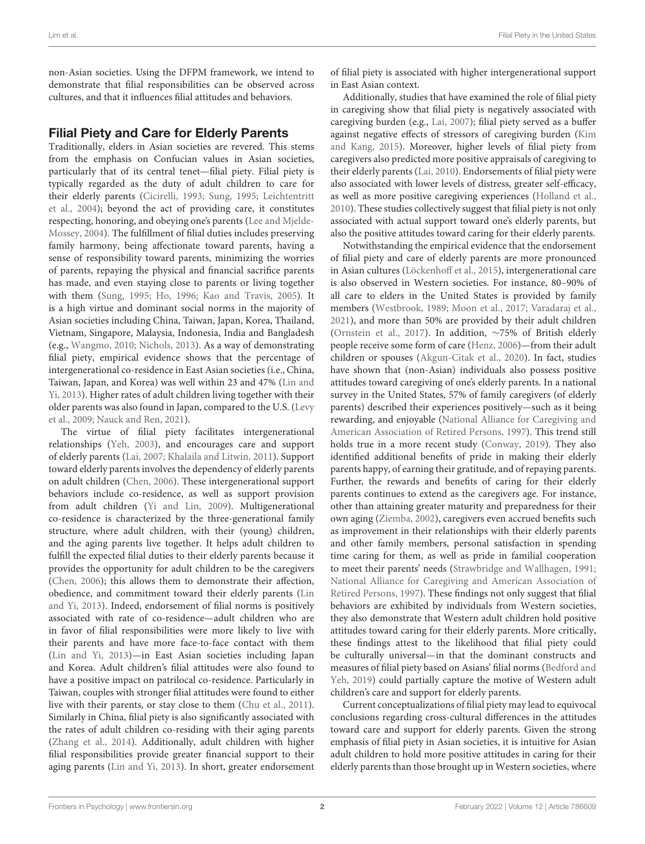non-Asian societies. Using the DFPM framework, we intend to demonstrate that filial responsibilities can be observed across cultures, and that it influences filial attitudes and behaviors.

## Filial Piety and Care for Elderly Parents

Traditionally, elders in Asian societies are revered. This stems from the emphasis on Confucian values in Asian societies, particularly that of its central tenet—filial piety. Filial piety is typically regarded as the duty of adult children to care for their elderly parents [\(Cicirelli, 1993;](#page-13-0) [Sung, 1995;](#page-14-2) Leichtentritt et al., [2004\)](#page-13-1); beyond the act of providing care, it constitutes respecting, honoring, and obeying one's parents (Lee and Mjelde-Mossey, [2004\)](#page-13-2). The fulfillment of filial duties includes preserving family harmony, being affectionate toward parents, having a sense of responsibility toward parents, minimizing the worries of parents, repaying the physical and financial sacrifice parents has made, and even staying close to parents or living together with them [\(Sung, 1995;](#page-14-2) [Ho, 1996;](#page-13-3) [Kao and Travis, 2005\)](#page-13-4). It is a high virtue and dominant social norms in the majority of Asian societies including China, Taiwan, Japan, Korea, Thailand, Vietnam, Singapore, Malaysia, Indonesia, India and Bangladesh (e.g., [Wangmo, 2010;](#page-14-3) [Nichols, 2013\)](#page-14-4). As a way of demonstrating filial piety, empirical evidence shows that the percentage of intergenerational co-residence in East Asian societies (i.e., China, Taiwan, Japan, and Korea) was well within 23 and 47% (Lin and Yi, [2013\)](#page-13-5). Higher rates of adult children living together with their older parents was also found in Japan, compared to the U.S. (Levy et al., [2009;](#page-13-6) [Nauck and Ren, 2021\)](#page-13-7).

The virtue of filial piety facilitates intergenerational relationships [\(Yeh, 2003\)](#page-14-5), and encourages care and support of elderly parents [\(Lai, 2007;](#page-13-8) [Khalaila and Litwin, 2011\)](#page-13-9). Support toward elderly parents involves the dependency of elderly parents on adult children [\(Chen, 2006\)](#page-13-10). These intergenerational support behaviors include co-residence, as well as support provision from adult children [\(Yi and Lin, 2009\)](#page-14-6). Multigenerational co-residence is characterized by the three-generational family structure, where adult children, with their (young) children, and the aging parents live together. It helps adult children to fulfill the expected filial duties to their elderly parents because it provides the opportunity for adult children to be the caregivers [\(Chen, 2006\)](#page-13-10); this allows them to demonstrate their affection, obedience, and commitment toward their elderly parents (Lin and Yi, [2013\)](#page-13-5). Indeed, endorsement of filial norms is positively associated with rate of co-residence—adult children who are in favor of filial responsibilities were more likely to live with their parents and have more face-to-face contact with them [\(Lin and Yi, 2013\)](#page-13-5)—in East Asian societies including Japan and Korea. Adult children's filial attitudes were also found to have a positive impact on patrilocal co-residence. Particularly in Taiwan, couples with stronger filial attitudes were found to either live with their parents, or stay close to them [\(Chu et al., 2011\)](#page-13-11). Similarly in China, filial piety is also significantly associated with the rates of adult children co-residing with their aging parents [\(Zhang et al., 2014\)](#page-14-7). Additionally, adult children with higher filial responsibilities provide greater financial support to their aging parents [\(Lin and Yi, 2013\)](#page-13-5). In short, greater endorsement of filial piety is associated with higher intergenerational support in East Asian context.

Additionally, studies that have examined the role of filial piety in caregiving show that filial piety is negatively associated with caregiving burden (e.g., [Lai, 2007\)](#page-13-8); filial piety served as a buffer against negative effects of stressors of caregiving burden (Kim and Kang, [2015\)](#page-13-12). Moreover, higher levels of filial piety from caregivers also predicted more positive appraisals of caregiving to their elderly parents [\(Lai, 2010\)](#page-13-13). Endorsements of filial piety were also associated with lower levels of distress, greater self-efficacy, as well as more positive caregiving experiences [\(Holland et al.,](#page-13-14) [2010\)](#page-13-14). These studies collectively suggest that filial piety is not only associated with actual support toward one's elderly parents, but also the positive attitudes toward caring for their elderly parents.

Notwithstanding the empirical evidence that the endorsement of filial piety and care of elderly parents are more pronounced in Asian cultures [\(Löckenhoff et al., 2015\)](#page-13-15), intergenerational care is also observed in Western societies. For instance, 80–90% of all care to elders in the United States is provided by family members [\(Westbrook, 1989;](#page-14-8) [Moon et al., 2017;](#page-13-16) [Varadaraj et al.,](#page-14-9) [2021\)](#page-14-9), and more than 50% are provided by their adult children [\(Ornstein et al., 2017\)](#page-14-10). In addition, ∼75% of British elderly people receive some form of care [\(Henz, 2006\)](#page-13-17)—from their adult children or spouses [\(Akgun-Citak et al., 2020\)](#page-12-1). In fact, studies have shown that (non-Asian) individuals also possess positive attitudes toward caregiving of one's elderly parents. In a national survey in the United States, 57% of family caregivers (of elderly parents) described their experiences positively—such as it being rewarding, and enjoyable (National Alliance for Caregiving and American Association of Retired Persons, [1997\)](#page-13-18). This trend still holds true in a more recent study [\(Conway, 2019\)](#page-13-19). They also identified additional benefits of pride in making their elderly parents happy, of earning their gratitude, and of repaying parents. Further, the rewards and benefits of caring for their elderly parents continues to extend as the caregivers age. For instance, other than attaining greater maturity and preparedness for their own aging [\(Ziemba, 2002\)](#page-14-11), caregivers even accrued benefits such as improvement in their relationships with their elderly parents and other family members, personal satisfaction in spending time caring for them, as well as pride in familial cooperation to meet their parents' needs [\(Strawbridge and Wallhagen, 1991;](#page-14-12) National Alliance for Caregiving and American Association of Retired Persons, [1997\)](#page-13-18). These findings not only suggest that filial behaviors are exhibited by individuals from Western societies, they also demonstrate that Western adult children hold positive attitudes toward caring for their elderly parents. More critically, these findings attest to the likelihood that filial piety could be culturally universal—in that the dominant constructs and measures of filial piety based on Asians' filial norms (Bedford and Yeh, [2019\)](#page-12-2) could partially capture the motive of Western adult children's care and support for elderly parents.

Current conceptualizations of filial piety may lead to equivocal conclusions regarding cross-cultural differences in the attitudes toward care and support for elderly parents. Given the strong emphasis of filial piety in Asian societies, it is intuitive for Asian adult children to hold more positive attitudes in caring for their elderly parents than those brought up in Western societies, where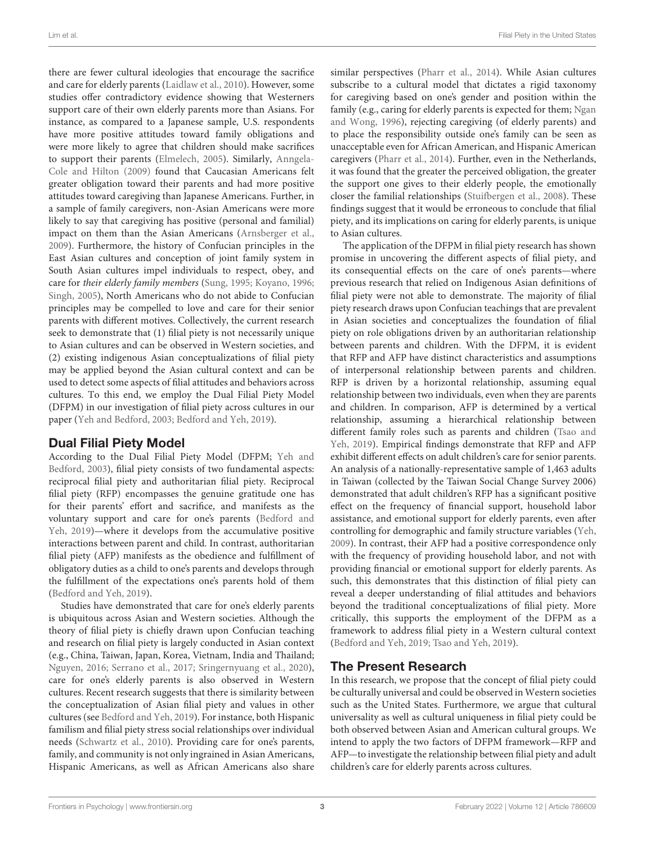there are fewer cultural ideologies that encourage the sacrifice and care for elderly parents [\(Laidlaw et al., 2010\)](#page-13-20). However, some studies offer contradictory evidence showing that Westerners support care of their own elderly parents more than Asians. For instance, as compared to a Japanese sample, U.S. respondents have more positive attitudes toward family obligations and were more likely to agree that children should make sacrifices to support their parents [\(Elmelech, 2005\)](#page-13-21). Similarly, Anngela-Cole and Hilton [\(2009\)](#page-12-3) found that Caucasian Americans felt greater obligation toward their parents and had more positive attitudes toward caregiving than Japanese Americans. Further, in a sample of family caregivers, non-Asian Americans were more likely to say that caregiving has positive (personal and familial) impact on them than the Asian Americans [\(Arnsberger et al.,](#page-12-4) [2009\)](#page-12-4). Furthermore, the history of Confucian principles in the East Asian cultures and conception of joint family system in South Asian cultures impel individuals to respect, obey, and care for their elderly family members [\(Sung, 1995;](#page-14-2) [Koyano, 1996;](#page-13-22) [Singh, 2005\)](#page-14-13), North Americans who do not abide to Confucian principles may be compelled to love and care for their senior parents with different motives. Collectively, the current research seek to demonstrate that (1) filial piety is not necessarily unique to Asian cultures and can be observed in Western societies, and (2) existing indigenous Asian conceptualizations of filial piety may be applied beyond the Asian cultural context and can be used to detect some aspects of filial attitudes and behaviors across cultures. To this end, we employ the Dual Filial Piety Model (DFPM) in our investigation of filial piety across cultures in our paper [\(Yeh and Bedford, 2003;](#page-14-14) [Bedford and Yeh, 2019\)](#page-12-2).

## Dual Filial Piety Model

According to the Dual Filial Piety Model (DFPM; Yeh and Bedford, [2003\)](#page-14-14), filial piety consists of two fundamental aspects: reciprocal filial piety and authoritarian filial piety. Reciprocal filial piety (RFP) encompasses the genuine gratitude one has for their parents' effort and sacrifice, and manifests as the voluntary support and care for one's parents (Bedford and Yeh, [2019\)](#page-12-2)—where it develops from the accumulative positive interactions between parent and child. In contrast, authoritarian filial piety (AFP) manifests as the obedience and fulfillment of obligatory duties as a child to one's parents and develops through the fulfillment of the expectations one's parents hold of them [\(Bedford and Yeh, 2019\)](#page-12-2).

Studies have demonstrated that care for one's elderly parents is ubiquitous across Asian and Western societies. Although the theory of filial piety is chiefly drawn upon Confucian teaching and research on filial piety is largely conducted in Asian context (e.g., China, Taiwan, Japan, Korea, Vietnam, India and Thailand; [Nguyen, 2016;](#page-14-15) [Serrano et al., 2017;](#page-14-16) [Sringernyuang et al., 2020\)](#page-14-17), care for one's elderly parents is also observed in Western cultures. Recent research suggests that there is similarity between the conceptualization of Asian filial piety and values in other cultures (see [Bedford and Yeh, 2019\)](#page-12-2). For instance, both Hispanic familism and filial piety stress social relationships over individual needs [\(Schwartz et al., 2010\)](#page-14-18). Providing care for one's parents, family, and community is not only ingrained in Asian Americans, Hispanic Americans, as well as African Americans also share similar perspectives [\(Pharr et al., 2014\)](#page-14-19). While Asian cultures subscribe to a cultural model that dictates a rigid taxonomy for caregiving based on one's gender and position within the family (e.g., caring for elderly parents is expected for them; Ngan and Wong, [1996\)](#page-13-23), rejecting caregiving (of elderly parents) and to place the responsibility outside one's family can be seen as unacceptable even for African American, and Hispanic American caregivers [\(Pharr et al., 2014\)](#page-14-19). Further, even in the Netherlands, it was found that the greater the perceived obligation, the greater the support one gives to their elderly people, the emotionally closer the familial relationships [\(Stuifbergen et al., 2008\)](#page-14-20). These findings suggest that it would be erroneous to conclude that filial piety, and its implications on caring for elderly parents, is unique to Asian cultures.

The application of the DFPM in filial piety research has shown promise in uncovering the different aspects of filial piety, and its consequential effects on the care of one's parents—where previous research that relied on Indigenous Asian definitions of filial piety were not able to demonstrate. The majority of filial piety research draws upon Confucian teachings that are prevalent in Asian societies and conceptualizes the foundation of filial piety on role obligations driven by an authoritarian relationship between parents and children. With the DFPM, it is evident that RFP and AFP have distinct characteristics and assumptions of interpersonal relationship between parents and children. RFP is driven by a horizontal relationship, assuming equal relationship between two individuals, even when they are parents and children. In comparison, AFP is determined by a vertical relationship, assuming a hierarchical relationship between different family roles such as parents and children (Tsao and Yeh, [2019\)](#page-14-21). Empirical findings demonstrate that RFP and AFP exhibit different effects on adult children's care for senior parents. An analysis of a nationally-representative sample of 1,463 adults in Taiwan (collected by the Taiwan Social Change Survey 2006) demonstrated that adult children's RFP has a significant positive effect on the frequency of financial support, household labor assistance, and emotional support for elderly parents, even after controlling for demographic and family structure variables [\(Yeh,](#page-14-22) [2009\)](#page-14-22). In contrast, their AFP had a positive correspondence only with the frequency of providing household labor, and not with providing financial or emotional support for elderly parents. As such, this demonstrates that this distinction of filial piety can reveal a deeper understanding of filial attitudes and behaviors beyond the traditional conceptualizations of filial piety. More critically, this supports the employment of the DFPM as a framework to address filial piety in a Western cultural context [\(Bedford and Yeh, 2019;](#page-12-2) [Tsao and Yeh, 2019\)](#page-14-21).

## The Present Research

In this research, we propose that the concept of filial piety could be culturally universal and could be observed in Western societies such as the United States. Furthermore, we argue that cultural universality as well as cultural uniqueness in filial piety could be both observed between Asian and American cultural groups. We intend to apply the two factors of DFPM framework—RFP and AFP—to investigate the relationship between filial piety and adult children's care for elderly parents across cultures.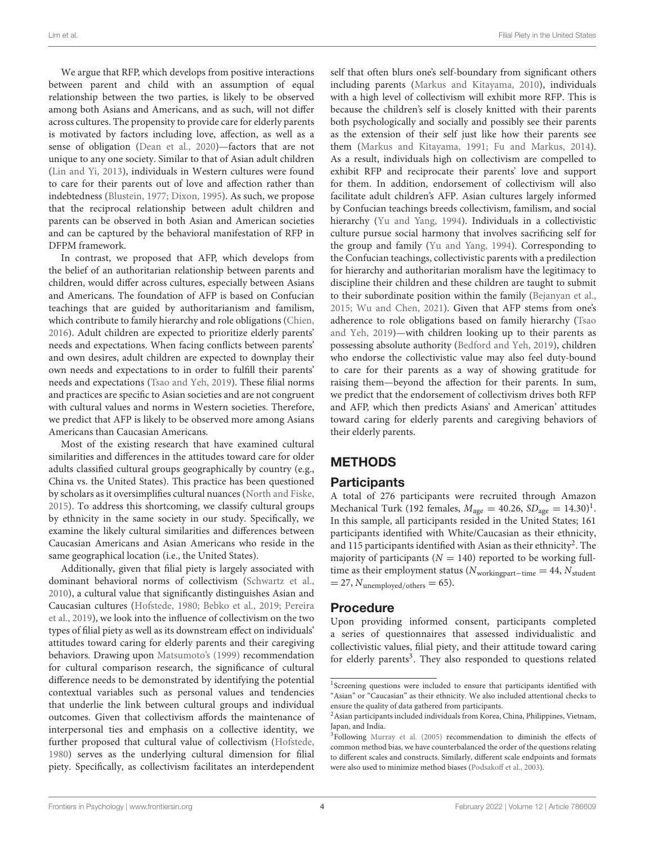We argue that RFP, which develops from positive interactions between parent and child with an assumption of equal relationship between the two parties, is likely to be observed among both Asians and Americans, and as such, will not differ across cultures. The propensity to provide care for elderly parents is motivated by factors including love, affection, as well as a sense of obligation [\(Dean et al., 2020\)](#page-13-24)—factors that are not unique to any one society. Similar to that of Asian adult children [\(Lin and Yi, 2013\)](#page-13-5), individuals in Western cultures were found to care for their parents out of love and affection rather than indebtedness [\(Blustein, 1977;](#page-12-5) [Dixon, 1995\)](#page-13-25). As such, we propose that the reciprocal relationship between adult children and parents can be observed in both Asian and American societies and can be captured by the behavioral manifestation of RFP in DFPM framework.

In contrast, we proposed that AFP, which develops from the belief of an authoritarian relationship between parents and children, would differ across cultures, especially between Asians and Americans. The foundation of AFP is based on Confucian teachings that are guided by authoritarianism and familism, which contribute to family hierarchy and role obligations [\(Chien,](#page-13-26) [2016\)](#page-13-26). Adult children are expected to prioritize elderly parents' needs and expectations. When facing conflicts between parents' and own desires, adult children are expected to downplay their own needs and expectations to in order to fulfill their parents' needs and expectations [\(Tsao and Yeh, 2019\)](#page-14-21). These filial norms and practices are specific to Asian societies and are not congruent with cultural values and norms in Western societies. Therefore, we predict that AFP is likely to be observed more among Asians Americans than Caucasian Americans.

Most of the existing research that have examined cultural similarities and differences in the attitudes toward care for older adults classified cultural groups geographically by country (e.g., China vs. the United States). This practice has been questioned by scholars as it oversimplifies cultural nuances [\(North and Fiske,](#page-14-23) [2015\)](#page-14-23). To address this shortcoming, we classify cultural groups by ethnicity in the same society in our study. Specifically, we examine the likely cultural similarities and differences between Caucasian Americans and Asian Americans who reside in the same geographical location (i.e., the United States).

Additionally, given that filial piety is largely associated with dominant behavioral norms of collectivism [\(Schwartz et al.,](#page-14-18) [2010\)](#page-14-18), a cultural value that significantly distinguishes Asian and Caucasian cultures [\(Hofstede, 1980;](#page-13-27) [Bebko et al., 2019;](#page-12-6) Pereira et al., [2019\)](#page-14-24), we look into the influence of collectivism on the two types of filial piety as well as its downstream effect on individuals' attitudes toward caring for elderly parents and their caregiving behaviors. Drawing upon [Matsumoto's \(1999\)](#page-13-28) recommendation for cultural comparison research, the significance of cultural difference needs to be demonstrated by identifying the potential contextual variables such as personal values and tendencies that underlie the link between cultural groups and individual outcomes. Given that collectivism affords the maintenance of interpersonal ties and emphasis on a collective identity, we further proposed that cultural value of collectivism [\(Hofstede,](#page-13-27) [1980\)](#page-13-27) serves as the underlying cultural dimension for filial piety. Specifically, as collectivism facilitates an interdependent self that often blurs one's self-boundary from significant others including parents [\(Markus and Kitayama, 2010\)](#page-13-29), individuals with a high level of collectivism will exhibit more RFP. This is because the children's self is closely knitted with their parents both psychologically and socially and possibly see their parents as the extension of their self just like how their parents see them [\(Markus and Kitayama, 1991;](#page-13-30) [Fu and Markus, 2014\)](#page-13-31). As a result, individuals high on collectivism are compelled to exhibit RFP and reciprocate their parents' love and support for them. In addition, endorsement of collectivism will also facilitate adult children's AFP. Asian cultures largely informed by Confucian teachings breeds collectivism, familism, and social hierarchy [\(Yu and Yang, 1994\)](#page-14-25). Individuals in a collectivistic culture pursue social harmony that involves sacrificing self for the group and family [\(Yu and Yang, 1994\)](#page-14-25). Corresponding to the Confucian teachings, collectivistic parents with a predilection for hierarchy and authoritarian moralism have the legitimacy to discipline their children and these children are taught to submit to their subordinate position within the family [\(Bejanyan et al.,](#page-12-7) [2015;](#page-12-7) [Wu and Chen, 2021\)](#page-14-26). Given that AFP stems from one's adherence to role obligations based on family hierarchy (Tsao and Yeh, [2019\)](#page-14-21)—with children looking up to their parents as possessing absolute authority [\(Bedford and Yeh, 2019\)](#page-12-2), children who endorse the collectivistic value may also feel duty-bound to care for their parents as a way of showing gratitude for raising them—beyond the affection for their parents. In sum, we predict that the endorsement of collectivism drives both RFP and AFP, which then predicts Asians' and American' attitudes toward caring for elderly parents and caregiving behaviors of their elderly parents.

# METHODS

## **Participants**

A total of 276 participants were recruited through Amazon Mechanical Turk ([1](#page-3-0)92 females,  $M_{\text{age}} = 40.26$ ,  $SD_{\text{age}} = 14.30$ <sup>1</sup>. In this sample, all participants resided in the United States; 161 participants identified with White/Caucasian as their ethnicity, and 115 participants identified with Asian as their ethnicity<sup>[2](#page-3-1)</sup>. The majority of participants ( $N = 140$ ) reported to be working fulltime as their employment status ( $N_{\text{workingpart}-\text{time}} = 44$ ,  $N_{\text{student}}$  $= 27$ ,  $N_{\text{unemployed/others}} = 65$ ).

## Procedure

Upon providing informed consent, participants completed a series of questionnaires that assessed individualistic and collectivistic values, filial piety, and their attitude toward caring for elderly parents<sup>[3](#page-3-2)</sup>. They also responded to questions related

<span id="page-3-0"></span><sup>&</sup>lt;sup>1</sup>Screening questions were included to ensure that participants identified with "Asian" or "Caucasian" as their ethnicity. We also included attentional checks to ensure the quality of data gathered from participants.

<span id="page-3-1"></span><sup>&</sup>lt;sup>2</sup> Asian participants included individuals from Korea, China, Philippines, Vietnam, Japan, and India.

<span id="page-3-2"></span><sup>&</sup>lt;sup>3</sup>Following [Murray et al. \(2005\)](#page-13-32) recommendation to diminish the effects of common method bias, we have counterbalanced the order of the questions relating to different scales and constructs. Similarly, different scale endpoints and formats were also used to minimize method biases [\(Podsakoff et al., 2003\)](#page-14-27).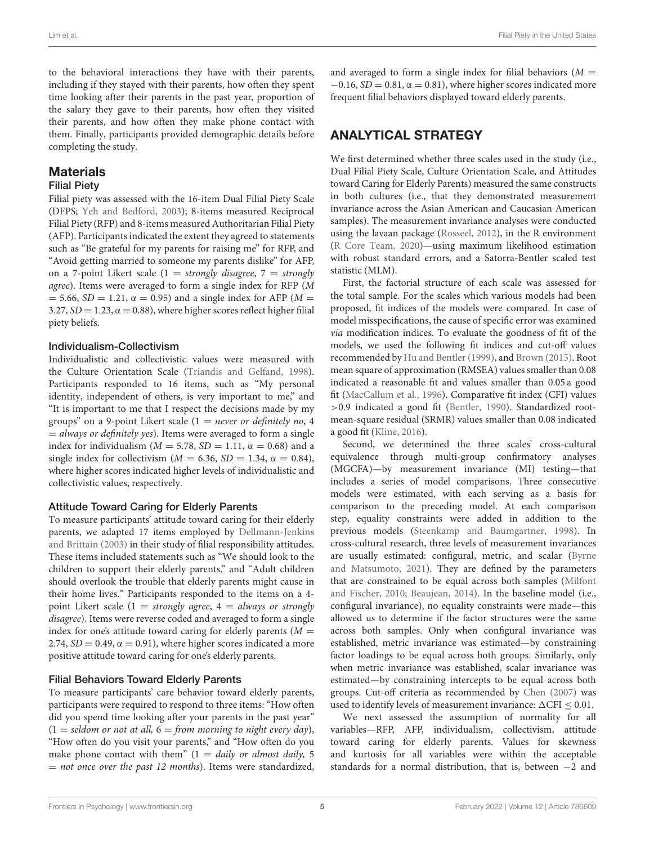to the behavioral interactions they have with their parents, including if they stayed with their parents, how often they spent time looking after their parents in the past year, proportion of the salary they gave to their parents, how often they visited their parents, and how often they make phone contact with them. Finally, participants provided demographic details before completing the study.

#### **Materials**

#### Filial Piety

Filial piety was assessed with the 16-item Dual Filial Piety Scale (DFPS; [Yeh and Bedford, 2003\)](#page-14-14); 8-items measured Reciprocal Filial Piety (RFP) and 8-items measured Authoritarian Filial Piety (AFP). Participants indicated the extent they agreed to statements such as "Be grateful for my parents for raising me" for RFP, and "Avoid getting married to someone my parents dislike" for AFP, on a 7-point Likert scale (1 = strongly disagree, 7 = strongly agree). Items were averaged to form a single index for RFP (M  $= 5.66$ ,  $SD = 1.21$ ,  $\alpha = 0.95$ ) and a single index for AFP ( $M =$ 3.27,  $SD = 1.23$ ,  $\alpha = 0.88$ ), where higher scores reflect higher filial piety beliefs.

#### Individualism-Collectivism

Individualistic and collectivistic values were measured with the Culture Orientation Scale [\(Triandis and Gelfand, 1998\)](#page-14-28). Participants responded to 16 items, such as "My personal identity, independent of others, is very important to me," and "It is important to me that I respect the decisions made by my groups" on a 9-point Likert scale  $(1 = never or definitely no, 4)$  $=$  always or definitely yes). Items were averaged to form a single index for individualism ( $M = 5.78$ ,  $SD = 1.11$ ,  $\alpha = 0.68$ ) and a single index for collectivism ( $M = 6.36$ ,  $SD = 1.34$ ,  $\alpha = 0.84$ ), where higher scores indicated higher levels of individualistic and collectivistic values, respectively.

#### Attitude Toward Caring for Elderly Parents

To measure participants' attitude toward caring for their elderly parents, we adapted 17 items employed by Dellmann-Jenkins and Brittain [\(2003\)](#page-13-33) in their study of filial responsibility attitudes. These items included statements such as "We should look to the children to support their elderly parents," and "Adult children should overlook the trouble that elderly parents might cause in their home lives." Participants responded to the items on a 4 point Likert scale  $(1 = strongly \ agree, 4 = always \ or \ strongly$ disagree). Items were reverse coded and averaged to form a single index for one's attitude toward caring for elderly parents ( $M =$ 2.74,  $SD = 0.49$ ,  $\alpha = 0.91$ ), where higher scores indicated a more positive attitude toward caring for one's elderly parents.

#### Filial Behaviors Toward Elderly Parents

To measure participants' care behavior toward elderly parents, participants were required to respond to three items: "How often did you spend time looking after your parents in the past year"  $(1 =$  seldom or not at all,  $6 =$  from morning to night every day), "How often do you visit your parents," and "How often do you make phone contact with them"  $(1 = \text{daily or almost daily}, 5)$  $=$  not once over the past 12 months). Items were standardized, and averaged to form a single index for filial behaviors  $(M =$  $-0.16$ ,  $SD = 0.81$ ,  $\alpha = 0.81$ ), where higher scores indicated more frequent filial behaviors displayed toward elderly parents.

# ANALYTICAL STRATEGY

We first determined whether three scales used in the study (i.e., Dual Filial Piety Scale, Culture Orientation Scale, and Attitudes toward Caring for Elderly Parents) measured the same constructs in both cultures (i.e., that they demonstrated measurement invariance across the Asian American and Caucasian American samples). The measurement invariance analyses were conducted using the lavaan package [\(Rosseel, 2012\)](#page-14-29), in the R environment [\(R Core Team, 2020\)](#page-14-30)—using maximum likelihood estimation with robust standard errors, and a Satorra-Bentler scaled test statistic (MLM).

First, the factorial structure of each scale was assessed for the total sample. For the scales which various models had been proposed, fit indices of the models were compared. In case of model misspecifications, the cause of specific error was examined via modification indices. To evaluate the goodness of fit of the models, we used the following fit indices and cut-off values recommended by [Hu and Bentler \(1999\)](#page-13-34), and [Brown \(2015\)](#page-12-8). Root mean square of approximation (RMSEA) values smaller than 0.08 indicated a reasonable fit and values smaller than 0.05 a good fit [\(MacCallum et al., 1996\)](#page-13-35). Comparative fit index (CFI) values >0.9 indicated a good fit [\(Bentler, 1990\)](#page-12-9). Standardized rootmean-square residual (SRMR) values smaller than 0.08 indicated a good fit [\(Kline, 2016\)](#page-13-36).

Second, we determined the three scales' cross-cultural equivalence through multi-group confirmatory analyses (MGCFA)—by measurement invariance (MI) testing—that includes a series of model comparisons. Three consecutive models were estimated, with each serving as a basis for comparison to the preceding model. At each comparison step, equality constraints were added in addition to the previous models [\(Steenkamp and Baumgartner, 1998\)](#page-14-31). In cross-cultural research, three levels of measurement invariances are usually estimated: configural, metric, and scalar (Byrne and Matsumoto, [2021\)](#page-12-10). They are defined by the parameters that are constrained to be equal across both samples (Milfont and Fischer, [2010;](#page-13-37) [Beaujean, 2014\)](#page-12-11). In the baseline model (i.e., configural invariance), no equality constraints were made—this allowed us to determine if the factor structures were the same across both samples. Only when configural invariance was established, metric invariance was estimated—by constraining factor loadings to be equal across both groups. Similarly, only when metric invariance was established, scalar invariance was estimated—by constraining intercepts to be equal across both groups. Cut-off criteria as recommended by [Chen \(2007\)](#page-13-38) was used to identify levels of measurement invariance:  $\Delta$ CFI  $\leq 0.01$ .

We next assessed the assumption of normality for all variables—RFP, AFP, individualism, collectivism, attitude toward caring for elderly parents. Values for skewness and kurtosis for all variables were within the acceptable standards for a normal distribution, that is, between −2 and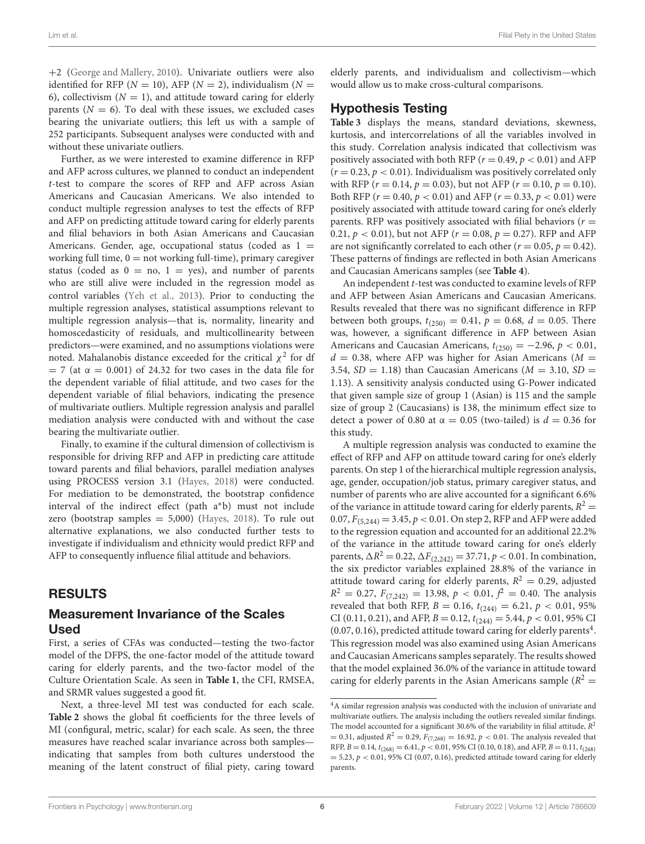+2 [\(George and Mallery, 2010\)](#page-13-39). Univariate outliers were also identified for RFP ( $N = 10$ ), AFP ( $N = 2$ ), individualism ( $N =$ 6), collectivism  $(N = 1)$ , and attitude toward caring for elderly parents  $(N = 6)$ . To deal with these issues, we excluded cases bearing the univariate outliers; this left us with a sample of 252 participants. Subsequent analyses were conducted with and without these univariate outliers.

Further, as we were interested to examine difference in RFP and AFP across cultures, we planned to conduct an independent t-test to compare the scores of RFP and AFP across Asian Americans and Caucasian Americans. We also intended to conduct multiple regression analyses to test the effects of RFP and AFP on predicting attitude toward caring for elderly parents and filial behaviors in both Asian Americans and Caucasian Americans. Gender, age, occupational status (coded as  $1 =$ working full time,  $0 =$  not working full-time), primary caregiver status (coded as  $0 = no$ ,  $1 = yes$ ), and number of parents who are still alive were included in the regression model as control variables [\(Yeh et al., 2013\)](#page-14-32). Prior to conducting the multiple regression analyses, statistical assumptions relevant to multiple regression analysis—that is, normality, linearity and homoscedasticity of residuals, and multicollinearity between predictors—were examined, and no assumptions violations were noted. Mahalanobis distance exceeded for the critical  $\chi^2$  for df  $= 7$  (at  $\alpha = 0.001$ ) of 24.32 for two cases in the data file for the dependent variable of filial attitude, and two cases for the dependent variable of filial behaviors, indicating the presence of multivariate outliers. Multiple regression analysis and parallel mediation analysis were conducted with and without the case bearing the multivariate outlier.

Finally, to examine if the cultural dimension of collectivism is responsible for driving RFP and AFP in predicting care attitude toward parents and filial behaviors, parallel mediation analyses using PROCESS version 3.1 [\(Hayes, 2018\)](#page-13-40) were conducted. For mediation to be demonstrated, the bootstrap confidence interval of the indirect effect (path a∗b) must not include zero (bootstrap samples  $= 5,000$ ) [\(Hayes, 2018\)](#page-13-40). To rule out alternative explanations, we also conducted further tests to investigate if individualism and ethnicity would predict RFP and AFP to consequently influence filial attitude and behaviors.

## RESULTS

#### Measurement Invariance of the Scales Used

First, a series of CFAs was conducted—testing the two-factor model of the DFPS, the one-factor model of the attitude toward caring for elderly parents, and the two-factor model of the Culture Orientation Scale. As seen in **[Table 1](#page-6-0)**, the CFI, RMSEA, and SRMR values suggested a good fit.

Next, a three-level MI test was conducted for each scale. **[Table 2](#page-6-1)** shows the global fit coefficients for the three levels of MI (configural, metric, scalar) for each scale. As seen, the three measures have reached scalar invariance across both samples indicating that samples from both cultures understood the meaning of the latent construct of filial piety, caring toward elderly parents, and individualism and collectivism—which would allow us to make cross-cultural comparisons.

## Hypothesis Testing

**[Table 3](#page-6-2)** displays the means, standard deviations, skewness, kurtosis, and intercorrelations of all the variables involved in this study. Correlation analysis indicated that collectivism was positively associated with both RFP ( $r = 0.49$ ,  $p < 0.01$ ) and AFP  $(r = 0.23, p < 0.01)$ . Individualism was positively correlated only with RFP ( $r = 0.14$ ,  $p = 0.03$ ), but not AFP ( $r = 0.10$ ,  $p = 0.10$ ). Both RFP ( $r = 0.40$ ,  $p < 0.01$ ) and AFP ( $r = 0.33$ ,  $p < 0.01$ ) were positively associated with attitude toward caring for one's elderly parents. RFP was positively associated with filial behaviors ( $r =$ 0.21,  $p < 0.01$ ), but not AFP ( $r = 0.08$ ,  $p = 0.27$ ). RFP and AFP are not significantly correlated to each other ( $r = 0.05$ ,  $p = 0.42$ ). These patterns of findings are reflected in both Asian Americans and Caucasian Americans samples (see **[Table 4](#page-7-0)**).

An independent t-test was conducted to examine levels of RFP and AFP between Asian Americans and Caucasian Americans. Results revealed that there was no significant difference in RFP between both groups,  $t_{(250)} = 0.41$ ,  $p = 0.68$ ,  $d = 0.05$ . There was, however, a significant difference in AFP between Asian Americans and Caucasian Americans,  $t_{(250)} = -2.96$ ,  $p < 0.01$ ,  $d = 0.38$ , where AFP was higher for Asian Americans ( $M =$ 3.54,  $SD = 1.18$ ) than Caucasian Americans ( $M = 3.10$ ,  $SD =$ 1.13). A sensitivity analysis conducted using G-Power indicated that given sample size of group 1 (Asian) is 115 and the sample size of group 2 (Caucasians) is 138, the minimum effect size to detect a power of 0.80 at  $\alpha = 0.05$  (two-tailed) is  $d = 0.36$  for this study.

A multiple regression analysis was conducted to examine the effect of RFP and AFP on attitude toward caring for one's elderly parents. On step 1 of the hierarchical multiple regression analysis, age, gender, occupation/job status, primary caregiver status, and number of parents who are alive accounted for a significant 6.6% of the variance in attitude toward caring for elderly parents,  $R^2 =$ 0.07,  $F_{(5,244)} = 3.45, p < 0.01$ . On step 2, RFP and AFP were added to the regression equation and accounted for an additional 22.2% of the variance in the attitude toward caring for one's elderly parents,  $\Delta R^2 = 0.22$ ,  $\Delta F_{(2,242)} = 37.71$ ,  $p < 0.01$ . In combination, the six predictor variables explained 28.8% of the variance in attitude toward caring for elderly parents,  $R^2 = 0.29$ , adjusted  $R^2 = 0.27$ ,  $F_{(7,242)} = 13.98$ ,  $p < 0.01$ ,  $f^2 = 0.40$ . The analysis revealed that both RFP,  $B = 0.16$ ,  $t_{(244)} = 6.21$ ,  $p < 0.01$ , 95% CI (0.11, 0.21), and AFP,  $B = 0.12$ ,  $t_{(244)} = 5.44$ ,  $p < 0.01$ , 95% CI  $(0.07, 0.16)$ , predicted attitude toward caring for elderly parents<sup>[4](#page-5-0)</sup>. This regression model was also examined using Asian Americans and Caucasian Americans samples separately. The results showed that the model explained 36.0% of the variance in attitude toward caring for elderly parents in the Asian Americans sample ( $R^2$  =

<span id="page-5-0"></span><sup>&</sup>lt;sup>4</sup>A similar regression analysis was conducted with the inclusion of univariate and multivariate outliers. The analysis including the outliers revealed similar findings. The model accounted for a significant 30.6% of the variability in filial attitude,  $R^2$  $= 0.31$ , adjusted  $R^2 = 0.29$ ,  $F_{(7,268)} = 16.92$ ,  $p < 0.01$ . The analysis revealed that RFP,  $B = 0.14$ ,  $t_{(268)} = 6.41$ ,  $p < 0.01$ , 95% CI (0.10, 0.18), and AFP,  $B = 0.11$ ,  $t_{(268)}$  $= 5.23$ ,  $p < 0.01$ , 95% CI (0.07, 0.16), predicted attitude toward caring for elderly parents.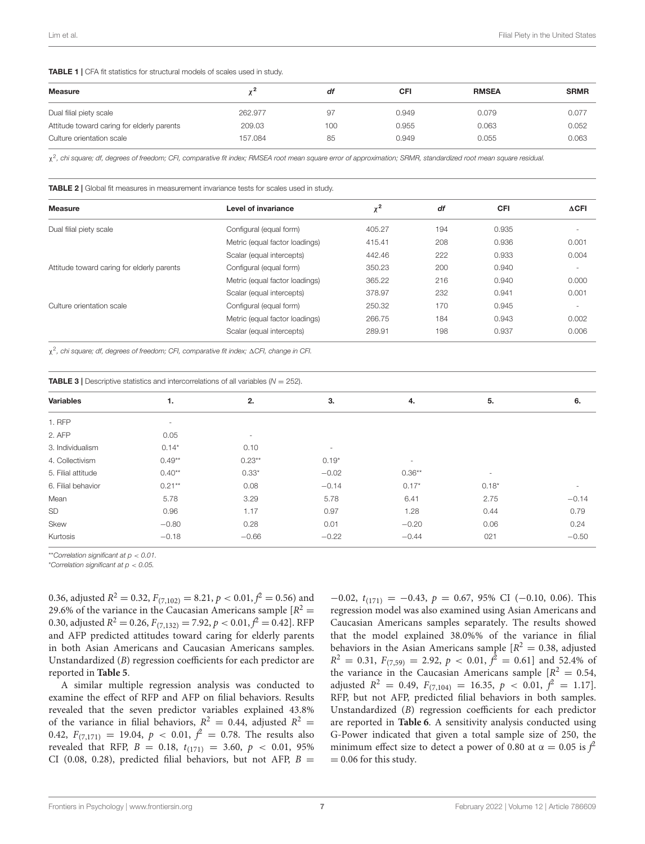#### <span id="page-6-0"></span>TABLE 1 | CFA fit statistics for structural models of scales used in study.

| <b>Measure</b>                             |         | df  | CFI   | <b>RMSEA</b> | <b>SRMR</b> |
|--------------------------------------------|---------|-----|-------|--------------|-------------|
| Dual filial piety scale                    | 262,977 | 97  | 0.949 | 0.079        | 0.077       |
| Attitude toward caring for elderly parents | 209.03  | 100 | 0.955 | 0.063        | 0.052       |
| Culture orientation scale                  | 157.084 | 85  | 0.949 | 0.055        | 0.063       |

χ 2 *, chi square; df, degrees of freedom; CFI, comparative fit index; RMSEA root mean square error of approximation; SRMR, standardized root mean square residual.*

<span id="page-6-1"></span>TABLE 2 | Global fit measures in measurement invariance tests for scales used in study.

| <b>Measure</b>                             | Level of invariance            | $\mathbf{v}^2$<br>V | df  | <b>CFI</b> | $\triangle$ CFI          |
|--------------------------------------------|--------------------------------|---------------------|-----|------------|--------------------------|
| Dual filial piety scale                    | Configural (equal form)        | 405.27              | 194 | 0.935      |                          |
|                                            | Metric (equal factor loadings) | 415.41              | 208 | 0.936      | 0.001                    |
|                                            | Scalar (equal intercepts)      | 442.46              | 222 | 0.933      | 0.004                    |
| Attitude toward caring for elderly parents | Configural (equal form)        | 350.23              | 200 | 0.940      | $\sim$                   |
|                                            | Metric (equal factor loadings) | 365.22              | 216 | 0.940      | 0.000                    |
|                                            | Scalar (equal intercepts)      | 378.97              | 232 | 0.941      | 0.001                    |
| Culture orientation scale                  | Configural (equal form)        | 250.32              | 170 | 0.945      | $\overline{\phantom{a}}$ |
|                                            | Metric (equal factor loadings) | 266.75              | 184 | 0.943      | 0.002                    |
|                                            | Scalar (equal intercepts)      | 289.91              | 198 | 0.937      | 0.006                    |

χ 2 *, chi square; df, degrees of freedom; CFI, comparative fit index;* 1*CFI, change in CFI.*

<span id="page-6-2"></span>

| <b>TABLE 3</b> Descriptive statistics and intercorrelations of all variables ( $N = 252$ ). |                          |          |         |          |         |                          |
|---------------------------------------------------------------------------------------------|--------------------------|----------|---------|----------|---------|--------------------------|
| <b>Variables</b>                                                                            | 1.                       | 2.       | 3.      | 4.       | 5.      | 6.                       |
| 1. RFP                                                                                      | $\overline{\phantom{a}}$ |          |         |          |         |                          |
| 2. AFP                                                                                      | 0.05                     |          |         |          |         |                          |
| 3. Individualism                                                                            | $0.14*$                  | 0.10     | $\sim$  |          |         |                          |
| 4. Collectivism                                                                             | $0.49**$                 | $0.23**$ | $0.19*$ | ٠        |         |                          |
| 5. Filial attitude                                                                          | $0.40**$                 | $0.33*$  | $-0.02$ | $0.36**$ | ٠       |                          |
| 6. Filial behavior                                                                          | $0.21***$                | 0.08     | $-0.14$ | $0.17*$  | $0.18*$ | $\overline{\phantom{a}}$ |
| Mean                                                                                        | 5.78                     | 3.29     | 5.78    | 6.41     | 2.75    | $-0.14$                  |
| SD                                                                                          | 0.96                     | 1.17     | 0.97    | 1.28     | 0.44    | 0.79                     |
| Skew                                                                                        | $-0.80$                  | 0.28     | 0.01    | $-0.20$  | 0.06    | 0.24                     |
| Kurtosis                                                                                    | $-0.18$                  | $-0.66$  | $-0.22$ | $-0.44$  | 021     | $-0.50$                  |

\*\**Correlation significant at p* < *0.01.*

\**Correlation significant at p* < *0.05.*

0.36, adjusted  $R^2 =$  0.32,  $F_{(7,102)} = 8.21$ ,  $p <$  0.01,  $f^2 =$  0.56) and 29.6% of the variance in the Caucasian Americans sample  $[R^2 =$ 0.30, adjusted  $R^2 =$  0.26,  $F_{(7,132)} = 7.92$ ,  $p < 0.01$ ,  $\hat{f}^2 = 0.42$ ]. RFP and AFP predicted attitudes toward caring for elderly parents in both Asian Americans and Caucasian Americans samples. Unstandardized (B) regression coefficients for each predictor are reported in **[Table 5](#page-7-1)**.

A similar multiple regression analysis was conducted to examine the effect of RFP and AFP on filial behaviors. Results revealed that the seven predictor variables explained 43.8% of the variance in filial behaviors,  $R^2 = 0.44$ , adjusted  $R^2 =$ 0.42,  $F_{(7,171)} = 19.04$ ,  $p < 0.01$ ,  $f^2 = 0.78$ . The results also revealed that RFP,  $B = 0.18$ ,  $t_{(171)} = 3.60$ ,  $p < 0.01$ , 95% CI (0.08, 0.28), predicted filial behaviors, but not AFP,  $B =$ 

 $-0.02$ ,  $t_{(171)} = -0.43$ ,  $p = 0.67$ , 95% CI (-0.10, 0.06). This regression model was also examined using Asian Americans and Caucasian Americans samples separately. The results showed that the model explained 38.0%% of the variance in filial behaviors in the Asian Americans sample  $[R^2 = 0.38,$  adjusted  $R^2 = 0.31$ ,  $F_{(7,59)} = 2.92$ ,  $p < 0.01$ ,  $f^2 = 0.61$  and 52.4% of the variance in the Caucasian Americans sample  $[R^2 = 0.54]$ adjusted  $R^2 = 0.49$ ,  $F_{(7,104)} = 16.35$ ,  $p < 0.01$ ,  $f^2 = 1.17$ . RFP, but not AFP, predicted filial behaviors in both samples. Unstandardized (B) regression coefficients for each predictor are reported in **[Table 6](#page-8-0)**. A sensitivity analysis conducted using G-Power indicated that given a total sample size of 250, the minimum effect size to detect a power of 0.80 at  $\alpha = 0.05$  is  $\hat{f}$  $= 0.06$  for this study.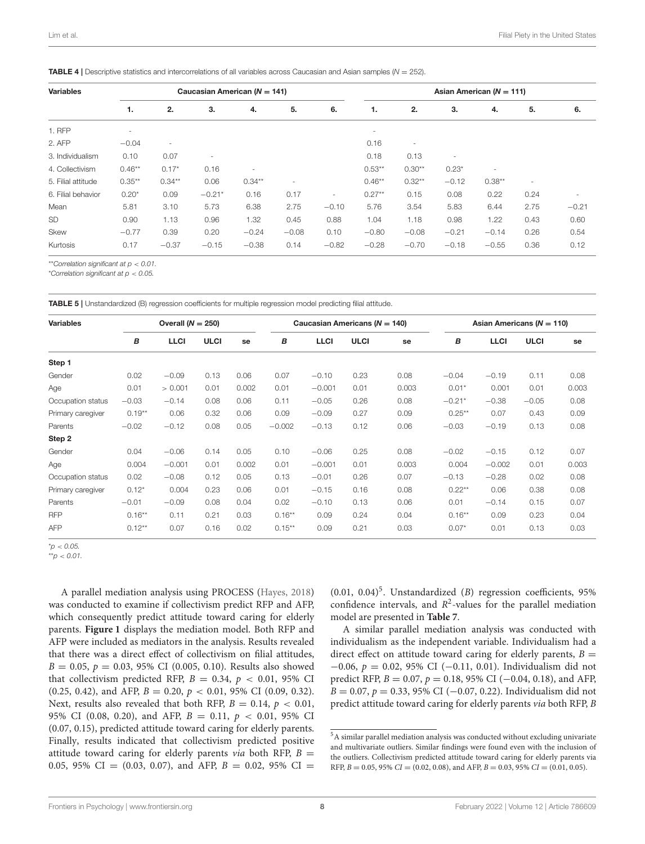<span id="page-7-0"></span>TABLE 4 | Descriptive statistics and intercorrelations of all variables across Caucasian and Asian samples (*N* = 252).

| <b>Variables</b>   |           |           | Caucasian American ( $N = 141$ ) |                          |         |                          | Asian American ( $N = 111$ ) |          |                          |                          |        |         |  |
|--------------------|-----------|-----------|----------------------------------|--------------------------|---------|--------------------------|------------------------------|----------|--------------------------|--------------------------|--------|---------|--|
|                    | 1.        | 2.        | 3.                               | 4.                       | 5.      | 6.                       | 1.                           | 2.       | 3.                       | 4.                       | 5.     | 6.      |  |
| <b>1. RFP</b>      | ۰         |           |                                  |                          |         |                          | $\overline{\phantom{a}}$     |          |                          |                          |        |         |  |
| 2. AFP             | $-0.04$   | $\sim$    |                                  |                          |         |                          | 0.16                         | ۰        |                          |                          |        |         |  |
| 3. Individualism   | 0.10      | 0.07      | ۰                                |                          |         |                          | 0.18                         | 0.13     | $\overline{\phantom{a}}$ |                          |        |         |  |
| 4. Collectivism    | $0.46**$  | $0.17*$   | 0.16                             | $\overline{\phantom{a}}$ |         |                          | $0.53***$                    | $0.30**$ | $0.23*$                  | $\overline{\phantom{a}}$ |        |         |  |
| 5. Filial attitude | $0.35***$ | $0.34***$ | 0.06                             | $0.34***$                |         |                          | $0.46***$                    | $0.32**$ | $-0.12$                  | $0.38**$                 | $\sim$ |         |  |
| 6. Filial behavior | $0.20*$   | 0.09      | $-0.21*$                         | 0.16                     | 0.17    | $\overline{\phantom{a}}$ | $0.27**$                     | 0.15     | 0.08                     | 0.22                     | 0.24   | ٠       |  |
| Mean               | 5.81      | 3.10      | 5.73                             | 6.38                     | 2.75    | $-0.10$                  | 5.76                         | 3.54     | 5.83                     | 6.44                     | 2.75   | $-0.21$ |  |
| <b>SD</b>          | 0.90      | 1.13      | 0.96                             | 1.32                     | 0.45    | 0.88                     | 1.04                         | 1.18     | 0.98                     | 1.22                     | 0.43   | 0.60    |  |
| Skew               | $-0.77$   | 0.39      | 0.20                             | $-0.24$                  | $-0.08$ | 0.10                     | $-0.80$                      | $-0.08$  | $-0.21$                  | $-0.14$                  | 0.26   | 0.54    |  |
| Kurtosis           | 0.17      | $-0.37$   | $-0.15$                          | $-0.38$                  | 0.14    | $-0.82$                  | $-0.28$                      | $-0.70$  | $-0.18$                  | $-0.55$                  | 0.36   | 0.12    |  |

\*\**Correlation significant at p* < *0.01.*

\**Correlation significant at p* < *0.05.*

<span id="page-7-1"></span>TABLE 5 | Unstandardized (B) regression coefficients for multiple regression model predicting filial attitude.

| Overall $(N = 250)$<br><b>Variables</b> |          |             |             |       |           | Caucasian Americans ( $N = 140$ ) |             |       | Asian Americans ( $N = 110$ ) |             |             |       |  |
|-----------------------------------------|----------|-------------|-------------|-------|-----------|-----------------------------------|-------------|-------|-------------------------------|-------------|-------------|-------|--|
|                                         | B        | <b>LLCI</b> | <b>ULCI</b> | se    | В         | <b>LLCI</b>                       | <b>ULCI</b> | se    | В                             | <b>LLCI</b> | <b>ULCI</b> | se    |  |
| Step 1                                  |          |             |             |       |           |                                   |             |       |                               |             |             |       |  |
| Gender                                  | 0.02     | $-0.09$     | 0.13        | 0.06  | 0.07      | $-0.10$                           | 0.23        | 0.08  | $-0.04$                       | $-0.19$     | 0.11        | 0.08  |  |
| Age                                     | 0.01     | > 0.001     | 0.01        | 0.002 | 0.01      | $-0.001$                          | 0.01        | 0.003 | $0.01*$                       | 0.001       | 0.01        | 0.003 |  |
| Occupation status                       | $-0.03$  | $-0.14$     | 0.08        | 0.06  | 0.11      | $-0.05$                           | 0.26        | 0.08  | $-0.21*$                      | $-0.38$     | $-0.05$     | 0.08  |  |
| Primary caregiver                       | $0.19**$ | 0.06        | 0.32        | 0.06  | 0.09      | $-0.09$                           | 0.27        | 0.09  | $0.25**$                      | 0.07        | 0.43        | 0.09  |  |
| Parents                                 | $-0.02$  | $-0.12$     | 0.08        | 0.05  | $-0.002$  | $-0.13$                           | 0.12        | 0.06  | $-0.03$                       | $-0.19$     | 0.13        | 0.08  |  |
| Step 2                                  |          |             |             |       |           |                                   |             |       |                               |             |             |       |  |
| Gender                                  | 0.04     | $-0.06$     | 0.14        | 0.05  | 0.10      | $-0.06$                           | 0.25        | 0.08  | $-0.02$                       | $-0.15$     | 0.12        | 0.07  |  |
| Age                                     | 0.004    | $-0.001$    | 0.01        | 0.002 | 0.01      | $-0.001$                          | 0.01        | 0.003 | 0.004                         | $-0.002$    | 0.01        | 0.003 |  |
| Occupation status                       | 0.02     | $-0.08$     | 0.12        | 0.05  | 0.13      | $-0.01$                           | 0.26        | 0.07  | $-0.13$                       | $-0.28$     | 0.02        | 0.08  |  |
| Primary caregiver                       | $0.12*$  | 0.004       | 0.23        | 0.06  | 0.01      | $-0.15$                           | 0.16        | 0.08  | $0.22**$                      | 0.06        | 0.38        | 0.08  |  |
| Parents                                 | $-0.01$  | $-0.09$     | 0.08        | 0.04  | 0.02      | $-0.10$                           | 0.13        | 0.06  | 0.01                          | $-0.14$     | 0.15        | 0.07  |  |
| <b>RFP</b>                              | $0.16**$ | 0.11        | 0.21        | 0.03  | $0.16***$ | 0.09                              | 0.24        | 0.04  | $0.16***$                     | 0.09        | 0.23        | 0.04  |  |
| <b>AFP</b>                              | $0.12**$ | 0.07        | 0.16        | 0.02  | $0.15***$ | 0.09                              | 0.21        | 0.03  | $0.07*$                       | 0.01        | 0.13        | 0.03  |  |

\**p* < *0.05.*

\*\**p* < *0.01.*

A parallel mediation analysis using PROCESS [\(Hayes, 2018\)](#page-13-40) was conducted to examine if collectivism predict RFP and AFP, which consequently predict attitude toward caring for elderly parents. **[Figure 1](#page-8-1)** displays the mediation model. Both RFP and AFP were included as mediators in the analysis. Results revealed that there was a direct effect of collectivism on filial attitudes,  $B = 0.05$ ,  $p = 0.03$ , 95% CI (0.005, 0.10). Results also showed that collectivism predicted RFP,  $B = 0.34$ ,  $p < 0.01$ , 95% CI (0.25, 0.42), and AFP,  $B = 0.20$ ,  $p < 0.01$ , 95% CI (0.09, 0.32). Next, results also revealed that both RFP,  $B = 0.14$ ,  $p < 0.01$ , 95% CI (0.08, 0.20), and AFP,  $B = 0.11$ ,  $p < 0.01$ , 95% CI (0.07, 0.15), predicted attitude toward caring for elderly parents. Finally, results indicated that collectivism predicted positive attitude toward caring for elderly parents via both RFP,  $B =$ 0.05, 95% CI = (0.03, 0.07), and AFP,  $B = 0.02$ , 95% CI =

 $(0.01, 0.04)^5$  $(0.01, 0.04)^5$ . Unstandardized  $(B)$  regression coefficients, 95% confidence intervals, and  $R^2$ -values for the parallel mediation model are presented in **[Table 7](#page-9-0)**.

A similar parallel mediation analysis was conducted with individualism as the independent variable. Individualism had a direct effect on attitude toward caring for elderly parents,  $B =$  $-0.06$ ,  $p = 0.02$ , 95% CI (-0.11, 0.01). Individualism did not predict RFP,  $B = 0.07$ ,  $p = 0.18$ , 95% CI (-0.04, 0.18), and AFP,  $B = 0.07$ ,  $p = 0.33$ , 95% CI (-0.07, 0.22). Individualism did not predict attitude toward caring for elderly parents via both RFP, B

<span id="page-7-2"></span><sup>5</sup>A similar parallel mediation analysis was conducted without excluding univariate and multivariate outliers. Similar findings were found even with the inclusion of the outliers. Collectivism predicted attitude toward caring for elderly parents via RFP,  $B = 0.05$ , 95%  $CI = (0.02, 0.08)$ , and AFP,  $B = 0.03$ , 95%  $CI = (0.01, 0.05)$ .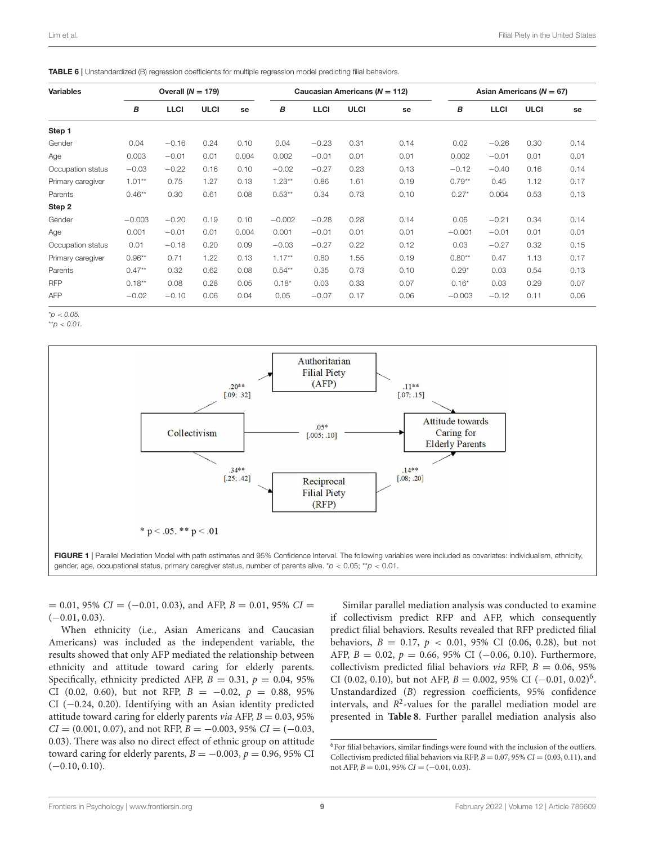<span id="page-8-0"></span>

| <b>Variables</b>  |          | Overall $(N = 179)$ |             |       |           |             | Caucasian Americans ( $N = 112$ ) |      |          | Asian Americans ( $N = 67$ ) |             |      |  |  |
|-------------------|----------|---------------------|-------------|-------|-----------|-------------|-----------------------------------|------|----------|------------------------------|-------------|------|--|--|
|                   | В        | <b>LLCI</b>         | <b>ULCI</b> | se    | B         | <b>LLCI</b> | <b>ULCI</b>                       | se   | В        | <b>LLCI</b>                  | <b>ULCI</b> | se   |  |  |
| Step 1            |          |                     |             |       |           |             |                                   |      |          |                              |             |      |  |  |
| Gender            | 0.04     | $-0.16$             | 0.24        | 0.10  | 0.04      | $-0.23$     | 0.31                              | 0.14 | 0.02     | $-0.26$                      | 0.30        | 0.14 |  |  |
| Age               | 0.003    | $-0.01$             | 0.01        | 0.004 | 0.002     | $-0.01$     | 0.01                              | 0.01 | 0.002    | $-0.01$                      | 0.01        | 0.01 |  |  |
| Occupation status | $-0.03$  | $-0.22$             | 0.16        | 0.10  | $-0.02$   | $-0.27$     | 0.23                              | 0.13 | $-0.12$  | $-0.40$                      | 0.16        | 0.14 |  |  |
| Primary caregiver | $1.01**$ | 0.75                | 1.27        | 0.13  | $1.23**$  | 0.86        | 1.61                              | 0.19 | $0.79**$ | 0.45                         | 1.12        | 0.17 |  |  |
| Parents           | $0.46**$ | 0.30                | 0.61        | 0.08  | $0.53***$ | 0.34        | 0.73                              | 0.10 | $0.27*$  | 0.004                        | 0.53        | 0.13 |  |  |
| Step 2            |          |                     |             |       |           |             |                                   |      |          |                              |             |      |  |  |
| Gender            | $-0.003$ | $-0.20$             | 0.19        | 0.10  | $-0.002$  | $-0.28$     | 0.28                              | 0.14 | 0.06     | $-0.21$                      | 0.34        | 0.14 |  |  |
| Age               | 0.001    | $-0.01$             | 0.01        | 0.004 | 0.001     | $-0.01$     | 0.01                              | 0.01 | $-0.001$ | $-0.01$                      | 0.01        | 0.01 |  |  |
| Occupation status | 0.01     | $-0.18$             | 0.20        | 0.09  | $-0.03$   | $-0.27$     | 0.22                              | 0.12 | 0.03     | $-0.27$                      | 0.32        | 0.15 |  |  |
| Primary caregiver | $0.96**$ | 0.71                | 1.22        | 0.13  | $1.17**$  | 0.80        | 1.55                              | 0.19 | $0.80**$ | 0.47                         | 1.13        | 0.17 |  |  |
| Parents           | $0.47**$ | 0.32                | 0.62        | 0.08  | $0.54***$ | 0.35        | 0.73                              | 0.10 | $0.29*$  | 0.03                         | 0.54        | 0.13 |  |  |
| <b>RFP</b>        | $0.18**$ | 0.08                | 0.28        | 0.05  | $0.18*$   | 0.03        | 0.33                              | 0.07 | $0.16*$  | 0.03                         | 0.29        | 0.07 |  |  |
| <b>AFP</b>        | $-0.02$  | $-0.10$             | 0.06        | 0.04  | 0.05      | $-0.07$     | 0.17                              | 0.06 | $-0.003$ | $-0.12$                      | 0.11        | 0.06 |  |  |

\**p* < *0.05.*

\*\**p* < *0.01.*



<span id="page-8-1"></span> $= 0.01, 95\% \text{ CI} = (-0.01, 0.03), \text{ and AFP, } B = 0.01, 95\% \text{ CI} =$  $(-0.01, 0.03)$ .

When ethnicity (i.e., Asian Americans and Caucasian Americans) was included as the independent variable, the results showed that only AFP mediated the relationship between ethnicity and attitude toward caring for elderly parents. Specifically, ethnicity predicted AFP,  $B = 0.31$ ,  $p = 0.04$ , 95% CI (0.02, 0.60), but not RFP,  $B = -0.02$ ,  $p = 0.88$ , 95% CI (−0.24, 0.20). Identifying with an Asian identity predicted attitude toward caring for elderly parents *via* AFP,  $B = 0.03, 95\%$  $CI = (0.001, 0.07)$ , and not RFP,  $B = -0.003, 95\% \ CI = (-0.03,$ 0.03). There was also no direct effect of ethnic group on attitude toward caring for elderly parents,  $B = -0.003$ ,  $p = 0.96$ , 95% CI  $(-0.10, 0.10)$ .

Similar parallel mediation analysis was conducted to examine if collectivism predict RFP and AFP, which consequently predict filial behaviors. Results revealed that RFP predicted filial behaviors,  $B = 0.17$ ,  $p < 0.01$ , 95% CI (0.06, 0.28), but not AFP,  $B = 0.02$ ,  $p = 0.66$ , 95% CI (-0.06, 0.10). Furthermore, collectivism predicted filial behaviors via RFP,  $B = 0.06, 95\%$ CI (0.02, 0.10), but not AFP,  $B = 0.002$ , 95% CI (-0.01, 0.02)<sup>[6](#page-8-2)</sup>. Unstandardized (B) regression coefficients, 95% confidence intervals, and  $R^2$ -values for the parallel mediation model are presented in **[Table 8](#page-10-0)**. Further parallel mediation analysis also

<span id="page-8-2"></span> $^6\rm{For\,filial\,behavors, similar\, findings were found with the inclusion of the outliers.}$ Collectivism predicted filial behaviors via RFP,  $B = 0.07$ , 95%  $CI = (0.03, 0.11)$ , and not AFP,  $B = 0.01$ , 95%  $CI = (-0.01, 0.03)$ .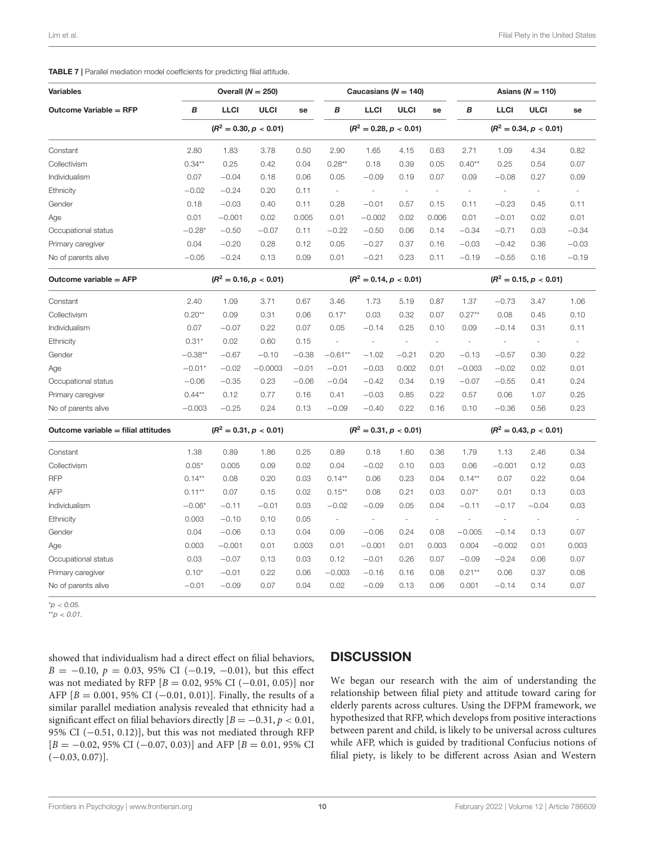#### <span id="page-9-0"></span>TABLE 7 | Parallel mediation model coefficients for predicting filial attitude.

| <b>Variables</b>                    |           |             | Overall ( $N = 250$ )    |         |                          | Caucasians ( $N = 140$ ) |                          |                          | Asians ( $N = 110$ )     |                          |                          |                          |  |
|-------------------------------------|-----------|-------------|--------------------------|---------|--------------------------|--------------------------|--------------------------|--------------------------|--------------------------|--------------------------|--------------------------|--------------------------|--|
| <b>Outcome Variable = RFP</b>       | в         | <b>LLCI</b> | <b>ULCI</b>              | se      | в                        | <b>LLCI</b>              | <b>ULCI</b>              | se                       | В                        | <b>LLCI</b>              | <b>ULCI</b>              | se                       |  |
|                                     |           |             | $(R^2 = 0.30, p < 0.01)$ |         |                          | $(R^2 = 0.28, p < 0.01)$ |                          |                          | $(R^2 = 0.34, p < 0.01)$ |                          |                          |                          |  |
| Constant                            | 2.80      | 1.83        | 3.78                     | 0.50    | 2.90                     | 1.65                     | 4.15                     | 0.63                     | 2.71                     | 1.09                     | 4.34                     | 0.82                     |  |
| Collectivism                        | $0.34**$  | 0.25        | 0.42                     | 0.04    | $0.28**$                 | 0.18                     | 0.39                     | 0.05                     | $0.40**$                 | 0.25                     | 0.54                     | 0.07                     |  |
| Individualism                       | 0.07      | $-0.04$     | 0.18                     | 0.06    | 0.05                     | $-0.09$                  | 0.19                     | 0.07                     | 0.09                     | $-0.08$                  | 0.27                     | 0.09                     |  |
| Ethnicity                           | $-0.02$   | $-0.24$     | 0.20                     | 0.11    | $\overline{\phantom{a}}$ |                          | $\overline{\phantom{a}}$ | $\sim$                   | $\overline{\phantom{a}}$ | ÷,                       | $\overline{\phantom{a}}$ | ÷,                       |  |
| Gender                              | 0.18      | $-0.03$     | 0.40                     | 0.11    | 0.28                     | $-0.01$                  | 0.57                     | 0.15                     | 0.11                     | $-0.23$                  | 0.45                     | 0.11                     |  |
| Age                                 | 0.01      | $-0.001$    | 0.02                     | 0.005   | 0.01                     | $-0.002$                 | 0.02                     | 0.006                    | 0.01                     | $-0.01$                  | 0.02                     | 0.01                     |  |
| Occupational status                 | $-0.28*$  | $-0.50$     | $-0.07$                  | 0.11    | $-0.22$                  | $-0.50$                  | 0.06                     | 0.14                     | $-0.34$                  | $-0.71$                  | 0.03                     | $-0.34$                  |  |
| Primary caregiver                   | 0.04      | $-0.20$     | 0.28                     | 0.12    | 0.05                     | $-0.27$                  | 0.37                     | 0.16                     | $-0.03$                  | $-0.42$                  | 0.36                     | $-0.03$                  |  |
| No of parents alive                 | $-0.05$   | $-0.24$     | 0.13                     | 0.09    | 0.01                     | $-0.21$                  | 0.23                     | 0.11                     | $-0.19$                  | $-0.55$                  | 0.16                     | $-0.19$                  |  |
| Outcome variable = AFP              |           |             | $(R^2 = 0.16, p < 0.01)$ |         | $(R^2 = 0.14, p < 0.01)$ |                          |                          | $(R^2 = 0.15, p < 0.01)$ |                          |                          |                          |                          |  |
| Constant                            | 2.40      | 1.09        | 3.71                     | 0.67    | 3.46                     | 1.73                     | 5.19                     | 0.87                     | 1.37                     | $-0.73$                  | 3.47                     | 1.06                     |  |
| Collectivism                        | $0.20**$  | 0.09        | 0.31                     | 0.06    | $0.17*$                  | 0.03                     | 0.32                     | 0.07                     | $0.27**$                 | 0.08                     | 0.45                     | 0.10                     |  |
| Individualism                       | 0.07      | $-0.07$     | 0.22                     | 0.07    | 0.05                     | $-0.14$                  | 0.25                     | 0.10                     | 0.09                     | $-0.14$                  | 0.31                     | 0.11                     |  |
| Ethnicity                           | $0.31*$   | 0.02        | 0.60                     | 0.15    | $\overline{\phantom{a}}$ | ÷,                       | $\overline{\phantom{a}}$ | $\overline{\phantom{a}}$ | $\overline{\phantom{a}}$ | ÷,                       | $\sim$                   | $\overline{\phantom{a}}$ |  |
| Gender                              | $-0.38**$ | $-0.67$     | $-0.10$                  | $-0.38$ | $-0.61**$                | $-1.02$                  | $-0.21$                  | 0.20                     | $-0.13$                  | $-0.57$                  | 0.30                     | 0.22                     |  |
| Age                                 | $-0.01*$  | $-0.02$     | $-0.0003$                | $-0.01$ | $-0.01$                  | $-0.03$                  | 0.002                    | 0.01                     | $-0.003$                 | $-0.02$                  | 0.02                     | 0.01                     |  |
| Occupational status                 | $-0.06$   | $-0.35$     | 0.23                     | $-0.06$ | $-0.04$                  | $-0.42$                  | 0.34                     | 0.19                     | $-0.07$                  | $-0.55$                  | 0.41                     | 0.24                     |  |
| Primary caregiver                   | $0.44**$  | 0.12        | 0.77                     | 0.16    | 0.41                     | $-0.03$                  | 0.85                     | 0.22                     | 0.57                     | 0.06                     | 1.07                     | 0.25                     |  |
| No of parents alive                 | $-0.003$  | $-0.25$     | 0.24                     | 0.13    | $-0.09$                  | $-0.40$                  | 0.22                     | 0.16                     | 0.10                     | $-0.36$                  | 0.56                     | 0.23                     |  |
| Outcome variable = filial attitudes |           |             | $(R^2 = 0.31, p < 0.01)$ |         |                          | $(R^2 = 0.31, p < 0.01)$ |                          |                          |                          | $(R^2 = 0.43, p < 0.01)$ |                          |                          |  |
| Constant                            | 1.38      | 0.89        | 1.86                     | 0.25    | 0.89                     | 0.18                     | 1.60                     | 0.36                     | 1.79                     | 1.13                     | 2.46                     | 0.34                     |  |
| Collectivism                        | $0.05*$   | 0.005       | 0.09                     | 0.02    | 0.04                     | $-0.02$                  | 0.10                     | 0.03                     | 0.06                     | $-0.001$                 | 0.12                     | 0.03                     |  |
| <b>RFP</b>                          | $0.14***$ | 0.08        | 0.20                     | 0.03    | $0.14***$                | 0.06                     | 0.23                     | 0.04                     | $0.14***$                | 0.07                     | 0.22                     | 0.04                     |  |
| <b>AFP</b>                          | $0.11**$  | 0.07        | 0.15                     | 0.02    | $0.15***$                | 0.08                     | 0.21                     | 0.03                     | $0.07*$                  | 0.01                     | 0.13                     | 0.03                     |  |
| Individualism                       | $-0.06*$  | $-0.11$     | $-0.01$                  | 0.03    | $-0.02$                  | $-0.09$                  | 0.05                     | 0.04                     | $-0.11$                  | $-0.17$                  | $-0.04$                  | 0.03                     |  |
| Ethnicity                           | 0.003     | $-0.10$     | 0.10                     | 0.05    | $\overline{\phantom{a}}$ |                          | $\overline{\phantom{a}}$ | $\overline{\phantom{a}}$ | $\overline{\phantom{a}}$ | ÷,                       | $\overline{\phantom{a}}$ | ÷,                       |  |
| Gender                              | 0.04      | $-0.06$     | 0.13                     | 0.04    | 0.09                     | $-0.06$                  | 0.24                     | 0.08                     | $-0.005$                 | $-0.14$                  | 0.13                     | 0.07                     |  |
| Age                                 | 0.003     | $-0.001$    | 0.01                     | 0.003   | 0.01                     | $-0.001$                 | 0.01                     | 0.003                    | 0.004                    | $-0.002$                 | 0.01                     | 0.003                    |  |
| Occupational status                 | 0.03      | $-0.07$     | 0.13                     | 0.03    | 0.12                     | $-0.01$                  | 0.26                     | 0.07                     | $-0.09$                  | $-0.24$                  | 0.06                     | 0.07                     |  |
| Primary caregiver                   | $0.10*$   | $-0.01$     | 0.22                     | 0.06    | $-0.003$                 | $-0.16$                  | 0.16                     | 0.08                     | $0.21***$                | 0.06                     | 0.37                     | 0.08                     |  |
| No of parents alive                 | $-0.01$   | $-0.09$     | 0.07                     | 0.04    | 0.02                     | $-0.09$                  | 0.13                     | 0.06                     | 0.001                    | $-0.14$                  | 0.14                     | 0.07                     |  |

\**p* < *0.05.*

\*\**p* < *0.01.*

showed that individualism had a direct effect on filial behaviors,  $B = -0.10, p = 0.03, 95\%$  CI (-0.19, -0.01), but this effect was not mediated by RFP [B = 0.02, 95% CI (−0.01, 0.05)] nor AFP  $[B = 0.001, 95\% \text{ CI } (-0.01, 0.01)]$ . Finally, the results of a similar parallel mediation analysis revealed that ethnicity had a significant effect on filial behaviors directly  $[B = -0.31, p < 0.01,$ 95% CI (-0.51, 0.12)], but this was not mediated through RFP  $[B = -0.02, 95\% \text{ CI } (-0.07, 0.03)]$  and AFP  $[B = 0.01, 95\% \text{ CI }$  $(-0.03, 0.07)$ ].

## **DISCUSSION**

We began our research with the aim of understanding the relationship between filial piety and attitude toward caring for elderly parents across cultures. Using the DFPM framework, we hypothesized that RFP, which develops from positive interactions between parent and child, is likely to be universal across cultures while AFP, which is guided by traditional Confucius notions of filial piety, is likely to be different across Asian and Western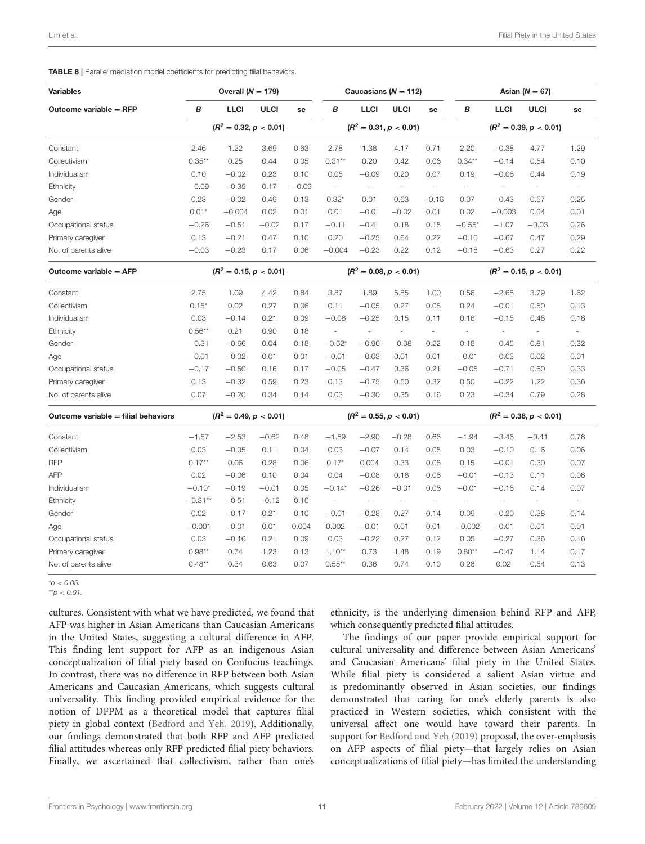#### <span id="page-10-0"></span>TABLE 8 | Parallel mediation model coefficients for predicting filial behaviors.

| <b>Variables</b>                    |           | Overall $(N = 179)$      |             |         | Caucasians ( $N = 112$ ) |                          | Asian ( $N = 67$ )       |                          |                          |                          |                          |                          |  |  |
|-------------------------------------|-----------|--------------------------|-------------|---------|--------------------------|--------------------------|--------------------------|--------------------------|--------------------------|--------------------------|--------------------------|--------------------------|--|--|
| Outcome variable $=$ RFP            | B         | <b>LLCI</b>              | <b>ULCI</b> | se      | В                        | <b>LLCI</b>              | <b>ULCI</b>              | se                       | В                        | <b>LLCI</b>              | <b>ULCI</b>              | se                       |  |  |
|                                     |           | $(R^2 = 0.32, p < 0.01)$ |             |         |                          |                          | $(R^2 = 0.31, p < 0.01)$ |                          | $(R^2 = 0.39, p < 0.01)$ |                          |                          |                          |  |  |
| Constant                            | 2.46      | 1.22                     | 3.69        | 0.63    | 2.78                     | 1.38                     | 4.17                     | 0.71                     | 2.20                     | $-0.38$                  | 4.77                     | 1.29                     |  |  |
| Collectivism                        | $0.35***$ | 0.25                     | 0.44        | 0.05    | $0.31***$                | 0.20                     | 0.42                     | 0.06                     | $0.34***$                | $-0.14$                  | 0.54                     | 0.10                     |  |  |
| Individualism                       | 0.10      | $-0.02$                  | 0.23        | 0.10    | 0.05                     | $-0.09$                  | 0.20                     | 0.07                     | 0.19                     | $-0.06$                  | 0.44                     | 0.19                     |  |  |
| Ethnicity                           | $-0.09$   | $-0.35$                  | 0.17        | $-0.09$ | $\overline{\phantom{a}}$ | $\overline{\phantom{a}}$ | $\overline{\phantom{a}}$ | ÷,                       | $\overline{\phantom{a}}$ | ÷,                       | $\overline{\phantom{a}}$ | ÷,                       |  |  |
| Gender                              | 0.23      | $-0.02$                  | 0.49        | 0.13    | $0.32*$                  | 0.01                     | 0.63                     | $-0.16$                  | 0.07                     | $-0.43$                  | 0.57                     | 0.25                     |  |  |
| Age                                 | $0.01*$   | $-0.004$                 | 0.02        | 0.01    | 0.01                     | $-0.01$                  | $-0.02$                  | 0.01                     | 0.02                     | $-0.003$                 | 0.04                     | 0.01                     |  |  |
| Occupational status                 | $-0.26$   | $-0.51$                  | $-0.02$     | 0.17    | $-0.11$                  | $-0.41$                  | 0.18                     | 0.15                     | $-0.55*$                 | $-1.07$                  | $-0.03$                  | 0.26                     |  |  |
| Primary caregiver                   | 0.13      | $-0.21$                  | 0.47        | 0.10    | 0.20                     | $-0.25$                  | 0.64                     | 0.22                     | $-0.10$                  | $-0.67$                  | 0.47                     | 0.29                     |  |  |
| No. of parents alive                | $-0.03$   | $-0.23$                  | 0.17        | 0.06    | $-0.004$                 | $-0.23$                  | 0.22                     | 0.12                     | $-0.18$                  | $-0.63$                  | 0.27                     | 0.22                     |  |  |
| Outcome variable = AFP              |           | $(R^2 = 0.15, p < 0.01)$ |             |         | $(R^2 = 0.08, p < 0.01)$ |                          |                          |                          |                          | $(R^2 = 0.15, p < 0.01)$ |                          |                          |  |  |
| Constant                            | 2.75      | 1.09                     | 4.42        | 0.84    | 3.87                     | 1.89                     | 5.85                     | 1.00                     | 0.56                     | $-2.68$                  | 3.79                     | 1.62                     |  |  |
| Collectivism                        | $0.15*$   | 0.02                     | 0.27        | 0.06    | 0.11                     | $-0.05$                  | 0.27                     | 0.08                     | 0.24                     | $-0.01$                  | 0.50                     | 0.13                     |  |  |
| Individualism                       | 0.03      | $-0.14$                  | 0.21        | 0.09    | $-0.06$                  | $-0.25$                  | 0.15                     | 0.11                     | 0.16                     | $-0.15$                  | 0.48                     | 0.16                     |  |  |
| Ethnicity                           | $0.56**$  | 0.21                     | 0.90        | 0.18    | $\sim$                   | $\sim$                   | J.                       | $\overline{\phantom{a}}$ | $\overline{\phantom{a}}$ |                          | $\overline{\phantom{a}}$ | ×.                       |  |  |
| Gender                              | $-0.31$   | $-0.66$                  | 0.04        | 0.18    | $-0.52*$                 | $-0.96$                  | $-0.08$                  | 0.22                     | 0.18                     | $-0.45$                  | 0.81                     | 0.32                     |  |  |
| Age                                 | $-0.01$   | $-0.02$                  | 0.01        | 0.01    | $-0.01$                  | $-0.03$                  | 0.01                     | 0.01                     | $-0.01$                  | $-0.03$                  | 0.02                     | 0.01                     |  |  |
| Occupational status                 | $-0.17$   | $-0.50$                  | 0.16        | 0.17    | $-0.05$                  | $-0.47$                  | 0.36                     | 0.21                     | $-0.05$                  | $-0.71$                  | 0.60                     | 0.33                     |  |  |
| Primary caregiver                   | 0.13      | $-0.32$                  | 0.59        | 0.23    | 0.13                     | $-0.75$                  | 0.50                     | 0.32                     | 0.50                     | $-0.22$                  | 1.22                     | 0.36                     |  |  |
| No. of parents alive                | 0.07      | $-0.20$                  | 0.34        | 0.14    | 0.03                     | $-0.30$                  | 0.35                     | 0.16                     | 0.23                     | $-0.34$                  | 0.79                     | 0.28                     |  |  |
| Outcome variable = filial behaviors |           | $(R^2 = 0.49, p < 0.01)$ |             |         |                          |                          | $(R^2 = 0.55, p < 0.01)$ |                          |                          |                          | $(R^2 = 0.38, p < 0.01)$ |                          |  |  |
| Constant                            | $-1.57$   | $-2.53$                  | $-0.62$     | 0.48    | $-1.59$                  | $-2.90$                  | $-0.28$                  | 0.66                     | $-1.94$                  | $-3.46$                  | $-0.41$                  | 0.76                     |  |  |
| Collectivism                        | 0.03      | $-0.05$                  | 0.11        | 0.04    | 0.03                     | $-0.07$                  | 0.14                     | 0.05                     | 0.03                     | $-0.10$                  | 0.16                     | 0.06                     |  |  |
| <b>RFP</b>                          | $0.17**$  | 0.06                     | 0.28        | 0.06    | $0.17*$                  | 0.004                    | 0.33                     | 0.08                     | 0.15                     | $-0.01$                  | 0.30                     | 0.07                     |  |  |
| <b>AFP</b>                          | 0.02      | $-0.06$                  | 0.10        | 0.04    | 0.04                     | $-0.08$                  | 0.16                     | 0.06                     | $-0.01$                  | $-0.13$                  | 0.11                     | 0.06                     |  |  |
| Individualism                       | $-0.10*$  | $-0.19$                  | $-0.01$     | 0.05    | $-0.14*$                 | $-0.26$                  | $-0.01$                  | 0.06                     | $-0.01$                  | $-0.16$                  | 0.14                     | 0.07                     |  |  |
| Ethnicity                           | $-0.31**$ | $-0.51$                  | $-0.12$     | 0.10    | $\overline{\phantom{a}}$ | $\overline{\phantom{a}}$ | $\overline{\phantom{a}}$ | $\overline{\phantom{a}}$ | $\sim$                   | $\overline{\phantom{a}}$ | $\overline{\phantom{a}}$ | $\overline{\phantom{a}}$ |  |  |
| Gender                              | 0.02      | $-0.17$                  | 0.21        | 0.10    | $-0.01$                  | $-0.28$                  | 0.27                     | 0.14                     | 0.09                     | $-0.20$                  | 0.38                     | 0.14                     |  |  |
| Age                                 | $-0.001$  | $-0.01$                  | 0.01        | 0.004   | 0.002                    | $-0.01$                  | 0.01                     | 0.01                     | $-0.002$                 | $-0.01$                  | 0.01                     | 0.01                     |  |  |
| Occupational status                 | 0.03      | $-0.16$                  | 0.21        | 0.09    | 0.03                     | $-0.22$                  | 0.27                     | 0.12                     | 0.05                     | $-0.27$                  | 0.36                     | 0.16                     |  |  |
| Primary caregiver                   | $0.98**$  | 0.74                     | 1.23        | 0.13    | $1.10**$                 | 0.73                     | 1.48                     | 0.19                     | $0.80**$                 | $-0.47$                  | 1.14                     | 0.17                     |  |  |
| No. of parents alive                | $0.48**$  | 0.34                     | 0.63        | 0.07    | $0.55***$                | 0.36                     | 0.74                     | 0.10                     | 0.28                     | 0.02                     | 0.54                     | 0.13                     |  |  |

\**p* < *0.05.* \*\**p* < *0.01.*

cultures. Consistent with what we have predicted, we found that AFP was higher in Asian Americans than Caucasian Americans in the United States, suggesting a cultural difference in AFP. This finding lent support for AFP as an indigenous Asian conceptualization of filial piety based on Confucius teachings. In contrast, there was no difference in RFP between both Asian Americans and Caucasian Americans, which suggests cultural universality. This finding provided empirical evidence for the notion of DFPM as a theoretical model that captures filial piety in global context [\(Bedford and Yeh, 2019\)](#page-12-2). Additionally, our findings demonstrated that both RFP and AFP predicted filial attitudes whereas only RFP predicted filial piety behaviors. Finally, we ascertained that collectivism, rather than one's ethnicity, is the underlying dimension behind RFP and AFP, which consequently predicted filial attitudes.

The findings of our paper provide empirical support for cultural universality and difference between Asian Americans' and Caucasian Americans' filial piety in the United States. While filial piety is considered a salient Asian virtue and is predominantly observed in Asian societies, our findings demonstrated that caring for one's elderly parents is also practiced in Western societies, which consistent with the universal affect one would have toward their parents. In support for [Bedford and Yeh \(2019\)](#page-12-2) proposal, the over-emphasis on AFP aspects of filial piety—that largely relies on Asian conceptualizations of filial piety—has limited the understanding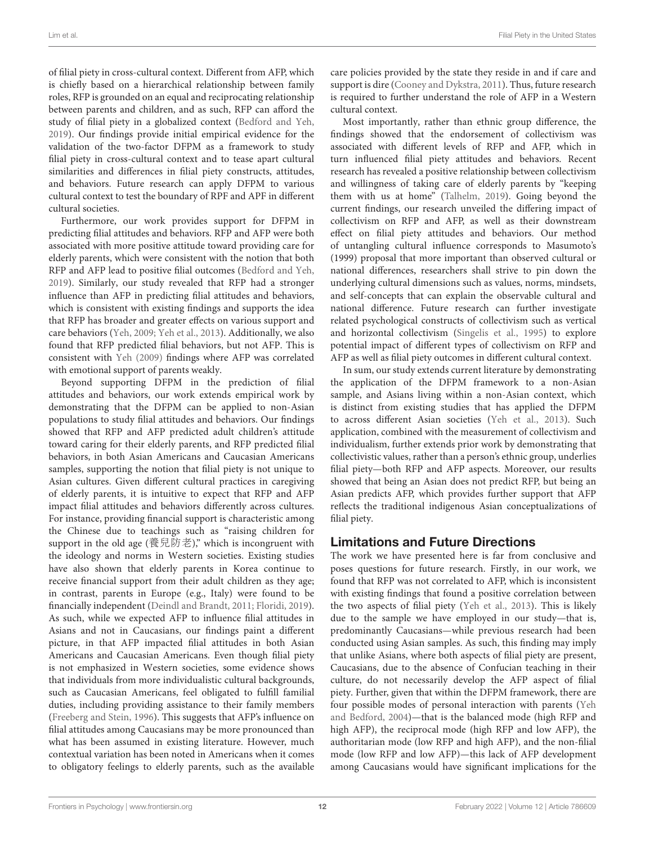of filial piety in cross-cultural context. Different from AFP, which is chiefly based on a hierarchical relationship between family roles, RFP is grounded on an equal and reciprocating relationship between parents and children, and as such, RFP can afford the study of filial piety in a globalized context [\(Bedford and Yeh,](#page-12-2) [2019\)](#page-12-2). Our findings provide initial empirical evidence for the validation of the two-factor DFPM as a framework to study filial piety in cross-cultural context and to tease apart cultural similarities and differences in filial piety constructs, attitudes, and behaviors. Future research can apply DFPM to various cultural context to test the boundary of RPF and APF in different cultural societies.

Furthermore, our work provides support for DFPM in predicting filial attitudes and behaviors. RFP and AFP were both associated with more positive attitude toward providing care for elderly parents, which were consistent with the notion that both RFP and AFP lead to positive filial outcomes [\(Bedford and Yeh,](#page-12-2) [2019\)](#page-12-2). Similarly, our study revealed that RFP had a stronger influence than AFP in predicting filial attitudes and behaviors, which is consistent with existing findings and supports the idea that RFP has broader and greater effects on various support and care behaviors [\(Yeh, 2009;](#page-14-22) [Yeh et al., 2013\)](#page-14-32). Additionally, we also found that RFP predicted filial behaviors, but not AFP. This is consistent with [Yeh \(2009\)](#page-14-22) findings where AFP was correlated with emotional support of parents weakly.

Beyond supporting DFPM in the prediction of filial attitudes and behaviors, our work extends empirical work by demonstrating that the DFPM can be applied to non-Asian populations to study filial attitudes and behaviors. Our findings showed that RFP and AFP predicted adult children's attitude toward caring for their elderly parents, and RFP predicted filial behaviors, in both Asian Americans and Caucasian Americans samples, supporting the notion that filial piety is not unique to Asian cultures. Given different cultural practices in caregiving of elderly parents, it is intuitive to expect that RFP and AFP impact filial attitudes and behaviors differently across cultures. For instance, providing financial support is characteristic among the Chinese due to teachings such as "raising children for support in the old age (養兒防老)," which is incongruent with the ideology and norms in Western societies. Existing studies have also shown that elderly parents in Korea continue to receive financial support from their adult children as they age; in contrast, parents in Europe (e.g., Italy) were found to be financially independent [\(Deindl and Brandt, 2011;](#page-13-41) [Floridi, 2019\)](#page-13-42). As such, while we expected AFP to influence filial attitudes in Asians and not in Caucasians, our findings paint a different picture, in that AFP impacted filial attitudes in both Asian Americans and Caucasian Americans. Even though filial piety is not emphasized in Western societies, some evidence shows that individuals from more individualistic cultural backgrounds, such as Caucasian Americans, feel obligated to fulfill familial duties, including providing assistance to their family members [\(Freeberg and Stein, 1996\)](#page-13-43). This suggests that AFP's influence on filial attitudes among Caucasians may be more pronounced than what has been assumed in existing literature. However, much contextual variation has been noted in Americans when it comes to obligatory feelings to elderly parents, such as the available care policies provided by the state they reside in and if care and support is dire [\(Cooney and Dykstra, 2011\)](#page-13-44). Thus, future research is required to further understand the role of AFP in a Western cultural context.

Most importantly, rather than ethnic group difference, the findings showed that the endorsement of collectivism was associated with different levels of RFP and AFP, which in turn influenced filial piety attitudes and behaviors. Recent research has revealed a positive relationship between collectivism and willingness of taking care of elderly parents by "keeping them with us at home" [\(Talhelm, 2019\)](#page-14-33). Going beyond the current findings, our research unveiled the differing impact of collectivism on RFP and AFP, as well as their downstream effect on filial piety attitudes and behaviors. Our method of untangling cultural influence corresponds to Masumoto's (1999) proposal that more important than observed cultural or national differences, researchers shall strive to pin down the underlying cultural dimensions such as values, norms, mindsets, and self-concepts that can explain the observable cultural and national difference. Future research can further investigate related psychological constructs of collectivism such as vertical and horizontal collectivism [\(Singelis et al., 1995\)](#page-14-34) to explore potential impact of different types of collectivism on RFP and AFP as well as filial piety outcomes in different cultural context.

In sum, our study extends current literature by demonstrating the application of the DFPM framework to a non-Asian sample, and Asians living within a non-Asian context, which is distinct from existing studies that has applied the DFPM to across different Asian societies [\(Yeh et al., 2013\)](#page-14-32). Such application, combined with the measurement of collectivism and individualism, further extends prior work by demonstrating that collectivistic values, rather than a person's ethnic group, underlies filial piety—both RFP and AFP aspects. Moreover, our results showed that being an Asian does not predict RFP, but being an Asian predicts AFP, which provides further support that AFP reflects the traditional indigenous Asian conceptualizations of filial piety.

## Limitations and Future Directions

The work we have presented here is far from conclusive and poses questions for future research. Firstly, in our work, we found that RFP was not correlated to AFP, which is inconsistent with existing findings that found a positive correlation between the two aspects of filial piety [\(Yeh et al., 2013\)](#page-14-32). This is likely due to the sample we have employed in our study—that is, predominantly Caucasians—while previous research had been conducted using Asian samples. As such, this finding may imply that unlike Asians, where both aspects of filial piety are present, Caucasians, due to the absence of Confucian teaching in their culture, do not necessarily develop the AFP aspect of filial piety. Further, given that within the DFPM framework, there are four possible modes of personal interaction with parents (Yeh and Bedford, [2004\)](#page-14-35)—that is the balanced mode (high RFP and high AFP), the reciprocal mode (high RFP and low AFP), the authoritarian mode (low RFP and high AFP), and the non-filial mode (low RFP and low AFP)—this lack of AFP development among Caucasians would have significant implications for the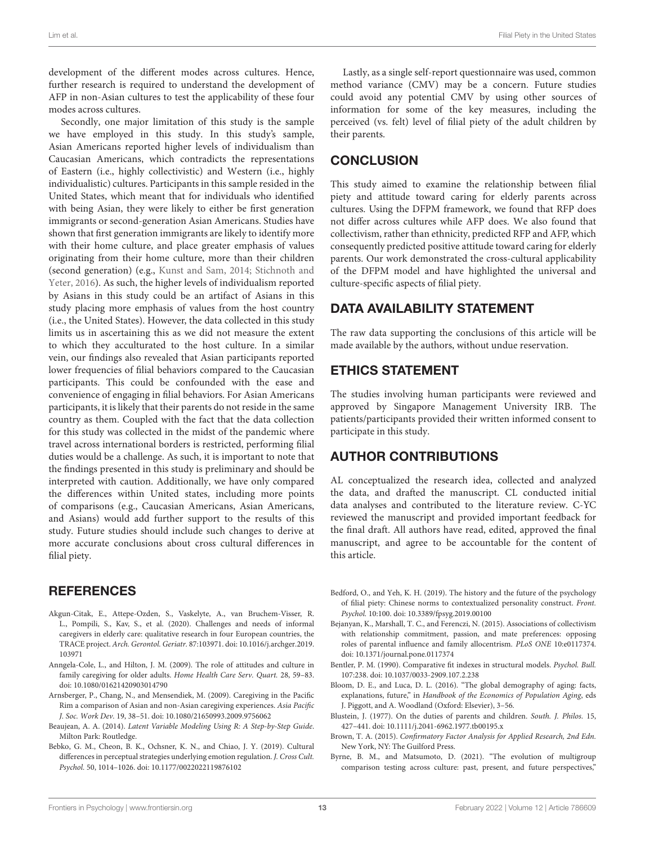development of the different modes across cultures. Hence, further research is required to understand the development of AFP in non-Asian cultures to test the applicability of these four modes across cultures.

Secondly, one major limitation of this study is the sample we have employed in this study. In this study's sample, Asian Americans reported higher levels of individualism than Caucasian Americans, which contradicts the representations of Eastern (i.e., highly collectivistic) and Western (i.e., highly individualistic) cultures. Participants in this sample resided in the United States, which meant that for individuals who identified with being Asian, they were likely to either be first generation immigrants or second-generation Asian Americans. Studies have shown that first generation immigrants are likely to identify more with their home culture, and place greater emphasis of values originating from their home culture, more than their children (second generation) (e.g., [Kunst and Sam, 2014;](#page-13-45) Stichnoth and Yeter, [2016\)](#page-14-36). As such, the higher levels of individualism reported by Asians in this study could be an artifact of Asians in this study placing more emphasis of values from the host country (i.e., the United States). However, the data collected in this study limits us in ascertaining this as we did not measure the extent to which they acculturated to the host culture. In a similar vein, our findings also revealed that Asian participants reported lower frequencies of filial behaviors compared to the Caucasian participants. This could be confounded with the ease and convenience of engaging in filial behaviors. For Asian Americans participants, it is likely that their parents do not reside in the same country as them. Coupled with the fact that the data collection for this study was collected in the midst of the pandemic where travel across international borders is restricted, performing filial duties would be a challenge. As such, it is important to note that the findings presented in this study is preliminary and should be interpreted with caution. Additionally, we have only compared the differences within United states, including more points of comparisons (e.g., Caucasian Americans, Asian Americans, and Asians) would add further support to the results of this study. Future studies should include such changes to derive at more accurate conclusions about cross cultural differences in filial piety.

# **REFERENCES**

- <span id="page-12-1"></span>Akgun-Citak, E., Attepe-Ozden, S., Vaskelyte, A., van Bruchem-Visser, R. L., Pompili, S., Kav, S., et al. (2020). Challenges and needs of informal caregivers in elderly care: qualitative research in four European countries, the TRACE project. Arch. Gerontol. Geriatr. [87:103971. doi: 10.1016/j.archger.2019.](https://doi.org/10.1016/j.archger.2019.103971) 103971
- <span id="page-12-3"></span>Anngela-Cole, L., and Hilton, J. M. (2009). The role of attitudes and culture in family caregiving for older adults. Home Health Care Serv. Quart. 28, 59–83. doi: [10.1080/01621420903014790](https://doi.org/10.1080/01621420903014790)
- <span id="page-12-4"></span>Arnsberger, P., Chang, N., and Mensendiek, M. (2009). Caregiving in the Pacific Rim a comparison of Asian and non-Asian caregiving experiences. Asia Pacific J. Soc. Work Dev. 19, 38–51. doi: [10.1080/21650993.2009.9756062](https://doi.org/10.1080/21650993.2009.9756062)
- <span id="page-12-11"></span>Beaujean, A. A. (2014). Latent Variable Modeling Using R: A Step-by-Step Guide. Milton Park: Routledge.
- <span id="page-12-6"></span>Bebko, G. M., Cheon, B. K., Ochsner, K. N., and Chiao, J. Y. (2019). Cultural differences in perceptual strategies underlying emotion regulation. J. Cross Cult. Psychol. 50, 1014–1026. doi: [10.1177/0022022119876102](https://doi.org/10.1177/0022022119876102)

Lastly, as a single self-report questionnaire was used, common method variance (CMV) may be a concern. Future studies could avoid any potential CMV by using other sources of information for some of the key measures, including the perceived (vs. felt) level of filial piety of the adult children by their parents.

# **CONCLUSION**

This study aimed to examine the relationship between filial piety and attitude toward caring for elderly parents across cultures. Using the DFPM framework, we found that RFP does not differ across cultures while AFP does. We also found that collectivism, rather than ethnicity, predicted RFP and AFP, which consequently predicted positive attitude toward caring for elderly parents. Our work demonstrated the cross-cultural applicability of the DFPM model and have highlighted the universal and culture-specific aspects of filial piety.

# DATA AVAILABILITY STATEMENT

The raw data supporting the conclusions of this article will be made available by the authors, without undue reservation.

## ETHICS STATEMENT

The studies involving human participants were reviewed and approved by Singapore Management University IRB. The patients/participants provided their written informed consent to participate in this study.

# AUTHOR CONTRIBUTIONS

AL conceptualized the research idea, collected and analyzed the data, and drafted the manuscript. CL conducted initial data analyses and contributed to the literature review. C-YC reviewed the manuscript and provided important feedback for the final draft. All authors have read, edited, approved the final manuscript, and agree to be accountable for the content of this article.

- <span id="page-12-2"></span>Bedford, O., and Yeh, K. H. (2019). The history and the future of the psychology of filial piety: Chinese norms to contextualized personality construct. Front. Psychol. 10:100. doi: [10.3389/fpsyg.2019.00100](https://doi.org/10.3389/fpsyg.2019.00100)
- <span id="page-12-7"></span>Bejanyan, K., Marshall, T. C., and Ferenczi, N. (2015). Associations of collectivism with relationship commitment, passion, and mate preferences: opposing roles of parental influence and family allocentrism. PLoS ONE 10:e0117374. doi: [10.1371/journal.pone.0117374](https://doi.org/10.1371/journal.pone.0117374)
- <span id="page-12-9"></span>Bentler, P. M. (1990). Comparative fit indexes in structural models. Psychol. Bull. 107:238. doi: [10.1037/0033-2909.107.2.238](https://doi.org/10.1037/0033-2909.107.2.238)
- <span id="page-12-0"></span>Bloom, D. E., and Luca, D. L. (2016). "The global demography of aging: facts, explanations, future," in Handbook of the Economics of Population Aging, eds J. Piggott, and A. Woodland (Oxford: Elsevier), 3–56.
- <span id="page-12-5"></span>Blustein, J. (1977). On the duties of parents and children. South. J. Philos. 15, 427–441. doi: [10.1111/j.2041-6962.1977.tb00195.x](https://doi.org/10.1111/j.2041-6962.1977.tb00195.x)
- <span id="page-12-8"></span>Brown, T. A. (2015). Confirmatory Factor Analysis for Applied Research, 2nd Edn. New York, NY: The Guilford Press.
- <span id="page-12-10"></span>Byrne, B. M., and Matsumoto, D. (2021). "The evolution of multigroup comparison testing across culture: past, present, and future perspectives,"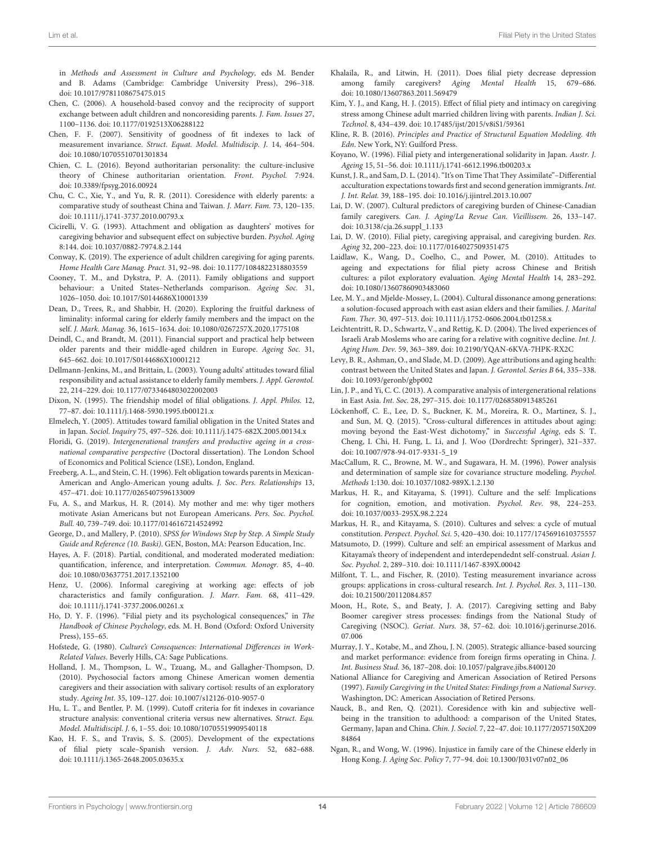in Methods and Assessment in Culture and Psychology, eds M. Bender and B. Adams (Cambridge: Cambridge University Press), 296–318. doi: [10.1017/9781108675475.015](https://doi.org/10.1017/9781108675475.015)

- <span id="page-13-10"></span>Chen, C. (2006). A household-based convoy and the reciprocity of support exchange between adult children and noncoresiding parents. J. Fam. Issues 27, 1100–1136. doi: [10.1177/0192513X06288122](https://doi.org/10.1177/0192513X06288122)
- <span id="page-13-38"></span>Chen, F. F. (2007). Sensitivity of goodness of fit indexes to lack of measurement invariance. Struct. Equat. Model. Multidiscip. J. 14, 464–504. doi: [10.1080/10705510701301834](https://doi.org/10.1080/10705510701301834)
- <span id="page-13-26"></span>Chien, C. L. (2016). Beyond authoritarian personality: the culture-inclusive theory of Chinese authoritarian orientation. Front. Psychol. 7:924. doi: [10.3389/fpsyg.2016.00924](https://doi.org/10.3389/fpsyg.2016.00924)
- <span id="page-13-11"></span>Chu, C. C., Xie, Y., and Yu, R. R. (2011). Coresidence with elderly parents: a comparative study of southeast China and Taiwan. J. Marr. Fam. 73, 120–135. doi: [10.1111/j.1741-3737.2010.00793.x](https://doi.org/10.1111/j.1741-3737.2010.00793.x)
- <span id="page-13-0"></span>Cicirelli, V. G. (1993). Attachment and obligation as daughters' motives for caregiving behavior and subsequent effect on subjective burden. Psychol. Aging 8:144. doi: [10.1037/0882-7974.8.2.144](https://doi.org/10.1037/0882-7974.8.2.144)
- <span id="page-13-19"></span>Conway, K. (2019). The experience of adult children caregiving for aging parents. Home Health Care Manag. Pract. 31, 92–98. doi: [10.1177/1084822318803559](https://doi.org/10.1177/1084822318803559)
- <span id="page-13-44"></span>Cooney, T. M., and Dykstra, P. A. (2011). Family obligations and support behaviour: a United States–Netherlands comparison. Ageing Soc. 31, 1026–1050. doi: [10.1017/S0144686X10001339](https://doi.org/10.1017/S0144686X10001339)
- <span id="page-13-24"></span>Dean, D., Trees, R., and Shabbir, H. (2020). Exploring the fruitful darkness of liminality: informal caring for elderly family members and the impact on the self. J. Mark. Manag. 36, 1615–1634. doi: [10.1080/0267257X.2020.1775108](https://doi.org/10.1080/0267257X.2020.1775108)
- <span id="page-13-41"></span>Deindl, C., and Brandt, M. (2011). Financial support and practical help between older parents and their middle-aged children in Europe. Ageing Soc. 31, 645–662. doi: [10.1017/S0144686X10001212](https://doi.org/10.1017/S0144686X10001212)
- <span id="page-13-33"></span>Dellmann-Jenkins, M., and Brittain, L. (2003). Young adults' attitudes toward filial responsibility and actual assistance to elderly family members. J. Appl. Gerontol. 22, 214–229. doi: [10.1177/0733464803022002003](https://doi.org/10.1177/0733464803022002003)
- <span id="page-13-25"></span>Dixon, N. (1995). The friendship model of filial obligations. J. Appl. Philos. 12, 77–87. doi: [10.1111/j.1468-5930.1995.tb00121.x](https://doi.org/10.1111/j.1468-5930.1995.tb00121.x)
- <span id="page-13-21"></span>Elmelech, Y. (2005). Attitudes toward familial obligation in the United States and in Japan. Sociol. Inquiry 75, 497–526. doi: [10.1111/j.1475-682X.2005.00134.x](https://doi.org/10.1111/j.1475-682X.2005.00134.x)
- <span id="page-13-42"></span>Floridi, G. (2019). Intergenerational transfers and productive ageing in a crossnational comparative perspective (Doctoral dissertation). The London School of Economics and Political Science (LSE), London, England.
- <span id="page-13-43"></span>Freeberg, A. L., and Stein, C. H. (1996). Felt obligation towards parents in Mexican-American and Anglo-American young adults. J. Soc. Pers. Relationships 13, 457–471. doi: [10.1177/0265407596133009](https://doi.org/10.1177/0265407596133009)
- <span id="page-13-31"></span>Fu, A. S., and Markus, H. R. (2014). My mother and me: why tiger mothers motivate Asian Americans but not European Americans. Pers. Soc. Psychol. Bull. 40, 739–749. doi: [10.1177/0146167214524992](https://doi.org/10.1177/0146167214524992)
- <span id="page-13-39"></span>George, D., and Mallery, P. (2010). SPSS for Windows Step by Step. A Simple Study Guide and Reference (10. Baski). GEN, Boston, MA: Pearson Education, Inc.
- <span id="page-13-40"></span>Hayes, A. F. (2018). Partial, conditional, and moderated moderated mediation: quantification, inference, and interpretation. Commun. Monogr. 85, 4–40. doi: [10.1080/03637751.2017.1352100](https://doi.org/10.1080/03637751.2017.1352100)
- <span id="page-13-17"></span>Henz, U. (2006). Informal caregiving at working age: effects of job characteristics and family configuration. J. Marr. Fam. 68, 411–429. doi: [10.1111/j.1741-3737.2006.00261.x](https://doi.org/10.1111/j.1741-3737.2006.00261.x)
- <span id="page-13-3"></span>Ho, D. Y. F. (1996). "Filial piety and its psychological consequences," in The Handbook of Chinese Psychology, eds. M. H. Bond (Oxford: Oxford University Press), 155–65.
- <span id="page-13-27"></span>Hofstede, G. (1980). Culture's Consequences: International Differences in Work-Related Values. Beverly Hills, CA: Sage Publications.
- <span id="page-13-14"></span>Holland, J. M., Thompson, L. W., Tzuang, M., and Gallagher-Thompson, D. (2010). Psychosocial factors among Chinese American women dementia caregivers and their association with salivary cortisol: results of an exploratory study. Ageing Int. 35, 109–127. doi: [10.1007/s12126-010-9057-0](https://doi.org/10.1007/s12126-010-9057-0)
- <span id="page-13-34"></span>Hu, L. T., and Bentler, P. M. (1999). Cutoff criteria for fit indexes in covariance structure analysis: conventional criteria versus new alternatives. Struct. Equ. Model. Multidiscipl. J. 6, 1–55. doi: [10.1080/10705519909540118](https://doi.org/10.1080/10705519909540118)
- <span id="page-13-4"></span>Kao, H. F. S., and Travis, S. S. (2005). Development of the expectations of filial piety scale–Spanish version. J. Adv. Nurs. 52, 682–688. doi: [10.1111/j.1365-2648.2005.03635.x](https://doi.org/10.1111/j.1365-2648.2005.03635.x)
- <span id="page-13-9"></span>Khalaila, R., and Litwin, H. (2011). Does filial piety decrease depression among family caregivers? Aging Mental Health 15, 679–686. doi: [10.1080/13607863.2011.569479](https://doi.org/10.1080/13607863.2011.569479)
- <span id="page-13-12"></span>Kim, Y. J., and Kang, H. J. (2015). Effect of filial piety and intimacy on caregiving stress among Chinese adult married children living with parents. Indian J. Sci. Technol. 8, 434–439. doi: [10.17485/ijst/2015/v8iS1/59361](https://doi.org/10.17485/ijst/2015/v8iS1/59361)
- <span id="page-13-36"></span>Kline, R. B. (2016). Principles and Practice of Structural Equation Modeling. 4th Edn. New York, NY: Guilford Press.
- <span id="page-13-22"></span>Koyano, W. (1996). Filial piety and intergenerational solidarity in Japan. Austr. J. Ageing 15, 51–56. doi: [10.1111/j.1741-6612.1996.tb00203.x](https://doi.org/10.1111/j.1741-6612.1996.tb00203.x)
- <span id="page-13-45"></span>Kunst, J. R., and Sam, D. L. (2014). "It's on Time That They Assimilate"–Differential acculturation expectations towards first and second generation immigrants. Int. J. Int. Relat. 39, 188–195. doi: [10.1016/j.ijintrel.2013.10.007](https://doi.org/10.1016/j.ijintrel.2013.10.007)
- <span id="page-13-8"></span>Lai, D. W. (2007). Cultural predictors of caregiving burden of Chinese-Canadian family caregivers. Can. J. Aging/La Revue Can. Vieillissem. 26, 133–147. doi: [10.3138/cja.26.suppl\\_1.133](https://doi.org/10.3138/cja.26.suppl_1.133)
- <span id="page-13-13"></span>Lai, D. W. (2010). Filial piety, caregiving appraisal, and caregiving burden. Res. Aging 32, 200–223. doi: [10.1177/0164027509351475](https://doi.org/10.1177/0164027509351475)
- <span id="page-13-20"></span>Laidlaw, K., Wang, D., Coelho, C., and Power, M. (2010). Attitudes to ageing and expectations for filial piety across Chinese and British cultures: a pilot exploratory evaluation. Aging Mental Health 14, 283–292. doi: [10.1080/13607860903483060](https://doi.org/10.1080/13607860903483060)
- <span id="page-13-2"></span>Lee, M. Y., and Mjelde-Mossey, L. (2004). Cultural dissonance among generations: a solution-focused approach with east asian elders and their families. J. Marital Fam. Ther. 30, 497–513. doi: [10.1111/j.1752-0606.2004.tb01258.x](https://doi.org/10.1111/j.1752-0606.2004.tb01258.x)
- <span id="page-13-1"></span>Leichtentritt, R. D., Schwartz, V., and Rettig, K. D. (2004). The lived experiences of Israeli Arab Moslems who are caring for a relative with cognitive decline. Int. J. Aging Hum. Dev. 59, 363–389. doi: [10.2190/YQAN-6KVA-7HPK-RX2C](https://doi.org/10.2190/YQAN-6KVA-7HPK-RX2C)
- <span id="page-13-6"></span>Levy, B. R., Ashman, O., and Slade, M. D. (2009). Age attributions and aging health: contrast between the United States and Japan. J. Gerontol. Series B 64, 335–338. doi: [10.1093/geronb/gbp002](https://doi.org/10.1093/geronb/gbp002)
- <span id="page-13-5"></span>Lin, J. P., and Yi, C. C. (2013). A comparative analysis of intergenerational relations in East Asia. Int. Soc. 28, 297–315. doi: [10.1177/0268580913485261](https://doi.org/10.1177/0268580913485261)
- <span id="page-13-15"></span>Löckenhoff, C. E., Lee, D. S., Buckner, K. M., Moreira, R. O., Martinez, S. J., and Sun, M. Q. (2015). "Cross-cultural differences in attitudes about aging: moving beyond the East-West dichotomy," in Successful Aging, eds S. T. Cheng, I. Chi, H. Fung, L. Li, and J. Woo (Dordrecht: Springer), 321–337. doi: [10.1007/978-94-017-9331-5\\_19](https://doi.org/10.1007/978-94-017-9331-5_19)
- <span id="page-13-35"></span>MacCallum, R. C., Browne, M. W., and Sugawara, H. M. (1996). Power analysis and determination of sample size for covariance structure modeling. Psychol. Methods 1:130. doi: [10.1037/1082-989X.1.2.130](https://doi.org/10.1037/1082-989X.1.2.130)
- <span id="page-13-30"></span>Markus, H. R., and Kitayama, S. (1991). Culture and the self: Implications for cognition, emotion, and motivation. Psychol. Rev. 98, 224–253. doi: [10.1037/0033-295X.98.2.224](https://doi.org/10.1037/0033-295X.98.2.224)
- <span id="page-13-29"></span>Markus, H. R., and Kitayama, S. (2010). Cultures and selves: a cycle of mutual constitution. Perspect. Psychol. Sci. 5, 420–430. doi: [10.1177/1745691610375557](https://doi.org/10.1177/1745691610375557)
- <span id="page-13-28"></span>Matsumoto, D. (1999). Culture and self: an empirical assessment of Markus and Kitayama's theory of independent and interdependednt self-construal. Asian J. Soc. Psychol. 2, 289–310. doi: [10.1111/1467-839X.00042](https://doi.org/10.1111/1467-839X.00042)
- <span id="page-13-37"></span>Milfont, T. L., and Fischer, R. (2010). Testing measurement invariance across groups: applications in cross-cultural research. Int. J. Psychol. Res. 3, 111–130. doi: [10.21500/20112084.857](https://doi.org/10.21500/20112084.857)
- <span id="page-13-16"></span>Moon, H., Rote, S., and Beaty, J. A. (2017). Caregiving setting and Baby Boomer caregiver stress processes: findings from the National Study of Caregiving (NSOC). Geriat. Nurs. [38, 57–62. doi: 10.1016/j.gerinurse.2016.](https://doi.org/10.1016/j.gerinurse.2016.07.006) 07.006
- <span id="page-13-32"></span>Murray, J. Y., Kotabe, M., and Zhou, J. N. (2005). Strategic alliance-based sourcing and market performance: evidence from foreign firms operating in China. J. Int. Business Stud. 36, 187–208. doi: [10.1057/palgrave.jibs.8400120](https://doi.org/10.1057/palgrave.jibs.8400120)
- <span id="page-13-18"></span>National Alliance for Caregiving and American Association of Retired Persons (1997). Family Caregiving in the United States: Findings from a National Survey. Washington, DC: American Association of Retired Persons.
- <span id="page-13-7"></span>Nauck, B., and Ren, Q. (2021). Coresidence with kin and subjective wellbeing in the transition to adulthood: a comparison of the United States, Germany, Japan and China. Chin. J. Sociol. [7, 22–47. doi: 10.1177/2057150X209](https://doi.org/10.1177/2057150X20984864) 84864
- <span id="page-13-23"></span>Ngan, R., and Wong, W. (1996). Injustice in family care of the Chinese elderly in Hong Kong. J. Aging Soc. Policy 7, 77–94. doi: [10.1300/J031v07n02\\_06](https://doi.org/10.1300/J031v07n02_06)